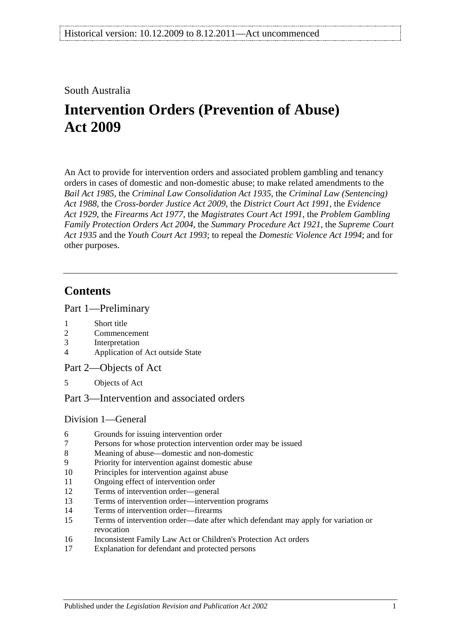South Australia

# **Intervention Orders (Prevention of Abuse) Act 2009**

An Act to provide for intervention orders and associated problem gambling and tenancy orders in cases of domestic and non-domestic abuse; to make related amendments to the *[Bail Act](http://www.legislation.sa.gov.au/index.aspx?action=legref&type=act&legtitle=Bail%20Act%201985) 1985*, the *[Criminal Law Consolidation Act](http://www.legislation.sa.gov.au/index.aspx?action=legref&type=act&legtitle=Criminal%20Law%20Consolidation%20Act%201935) 1935*, the *Criminal [Law \(Sentencing\)](http://www.legislation.sa.gov.au/index.aspx?action=legref&type=act&legtitle=Criminal%20Law%20(Sentencing)%20Act%201988)  Act [1988](http://www.legislation.sa.gov.au/index.aspx?action=legref&type=act&legtitle=Criminal%20Law%20(Sentencing)%20Act%201988)*, the *[Cross-border Justice Act](http://www.legislation.sa.gov.au/index.aspx?action=legref&type=act&legtitle=Cross-border%20Justice%20Act%202009) 2009*, the *[District Court Act](http://www.legislation.sa.gov.au/index.aspx?action=legref&type=act&legtitle=District%20Court%20Act%201991) 1991*, the *[Evidence](http://www.legislation.sa.gov.au/index.aspx?action=legref&type=act&legtitle=Evidence%20Act%201929)  Act [1929](http://www.legislation.sa.gov.au/index.aspx?action=legref&type=act&legtitle=Evidence%20Act%201929)*, the *[Firearms Act](http://www.legislation.sa.gov.au/index.aspx?action=legref&type=act&legtitle=Firearms%20Act%201977) 1977*, the *[Magistrates Court Act](http://www.legislation.sa.gov.au/index.aspx?action=legref&type=act&legtitle=Magistrates%20Court%20Act%201991) 1991*, the *[Problem Gambling](http://www.legislation.sa.gov.au/index.aspx?action=legref&type=act&legtitle=Problem%20Gambling%20Family%20Protection%20Orders%20Act%202004)  [Family Protection Orders Act](http://www.legislation.sa.gov.au/index.aspx?action=legref&type=act&legtitle=Problem%20Gambling%20Family%20Protection%20Orders%20Act%202004) 2004*, the *[Summary Procedure Act](http://www.legislation.sa.gov.au/index.aspx?action=legref&type=act&legtitle=Summary%20Procedure%20Act%201921) 1921*, the *[Supreme Court](http://www.legislation.sa.gov.au/index.aspx?action=legref&type=act&legtitle=Supreme%20Court%20Act%201935)  Act [1935](http://www.legislation.sa.gov.au/index.aspx?action=legref&type=act&legtitle=Supreme%20Court%20Act%201935)* and the *[Youth Court Act](http://www.legislation.sa.gov.au/index.aspx?action=legref&type=act&legtitle=Youth%20Court%20Act%201993) 1993*; to repeal the *[Domestic Violence Act](http://www.legislation.sa.gov.au/index.aspx?action=legref&type=act&legtitle=Domestic%20Violence%20Act%201994) 1994*; and for other purposes.

## **Contents**

[Part 1—Preliminary](#page-3-0)

- 1 [Short title](#page-3-1)
- 2 [Commencement](#page-3-2)
- 3 [Interpretation](#page-3-3)
- 4 [Application of Act outside State](#page-5-0)
- [Part 2—Objects of Act](#page-5-1)
- 5 [Objects of Act](#page-5-2)
- [Part 3—Intervention and associated orders](#page-6-0)

### [Division 1—General](#page-6-1)

- 6 [Grounds for issuing intervention order](#page-6-2)
- 7 [Persons for whose protection intervention order may be issued](#page-6-3)
- 8 [Meaning of abuse—domestic and non-domestic](#page-6-4)
- 9 [Priority for intervention against domestic abuse](#page-9-0)
- 10 [Principles for intervention against abuse](#page-9-1)
- 11 [Ongoing effect of intervention order](#page-10-0)
- 12 [Terms of intervention order—general](#page-11-0)
- 13 [Terms of intervention order—intervention programs](#page-12-0)
- 14 [Terms of intervention order—firearms](#page-12-1)
- 15 [Terms of intervention order—date after which defendant may apply for variation or](#page-13-0)  [revocation](#page-13-0)
- 16 [Inconsistent Family Law Act or Children's Protection Act orders](#page-13-1)
- 17 [Explanation for defendant and protected persons](#page-13-2)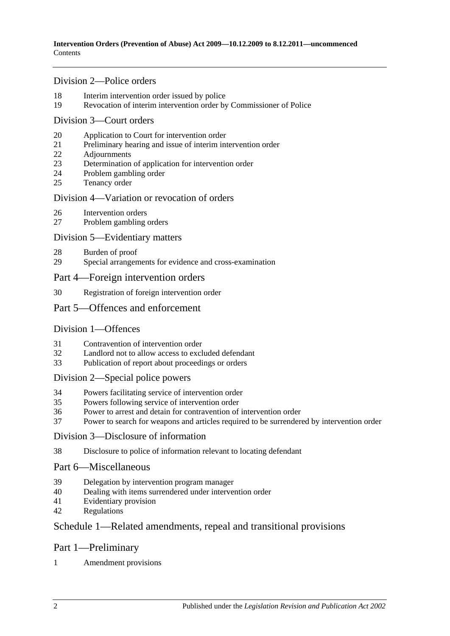### [Division 2—Police orders](#page-13-3)

- [Interim intervention order issued by police](#page-13-4)
- [Revocation of interim intervention order by Commissioner of Police](#page-14-0)

### [Division 3—Court orders](#page-14-1)

- [Application to Court for intervention order](#page-14-2)
- [Preliminary hearing and issue of interim intervention order](#page-15-0)
- [Adjournments](#page-17-0)
- [Determination of application for intervention order](#page-17-1)
- [Problem gambling order](#page-18-0)
- [Tenancy order](#page-18-1)

### [Division 4—Variation or revocation of orders](#page-20-0)

- [Intervention orders](#page-20-1)
- [Problem gambling orders](#page-21-0)

### [Division 5—Evidentiary matters](#page-21-1)

- [Burden of proof](#page-21-2)
- [Special arrangements for evidence and cross-examination](#page-21-3)
- [Part 4—Foreign intervention orders](#page-22-0)
- [Registration of foreign intervention order](#page-22-1)

### [Part 5—Offences and enforcement](#page-23-0)

### [Division 1—Offences](#page-23-1)

- [Contravention of intervention order](#page-23-2)
- [Landlord not to allow access to excluded defendant](#page-23-3)
- [Publication of report about proceedings or orders](#page-24-0)

### [Division 2—Special police powers](#page-24-1)

- [Powers facilitating service of intervention order](#page-24-2)<br>35 Powers following service of intervention order
- [Powers following service of intervention order](#page-25-0)
- [Power to arrest and detain for contravention of intervention order](#page-25-1)
- [Power to search for weapons and articles required to be surrendered by intervention order](#page-26-0)

### [Division 3—Disclosure of information](#page-26-1)

[Disclosure to police of information relevant to locating defendant](#page-26-2)

### [Part 6—Miscellaneous](#page-26-3)

- [Delegation by intervention program manager](#page-26-4)
- [Dealing with items surrendered under intervention order](#page-27-0)
- [Evidentiary provision](#page-27-1)
- [Regulations](#page-27-2)

### [Schedule 1—Related amendments, repeal and transitional provisions](#page-27-3)

### Part 1—Preliminary

[Amendment provisions](#page-27-4)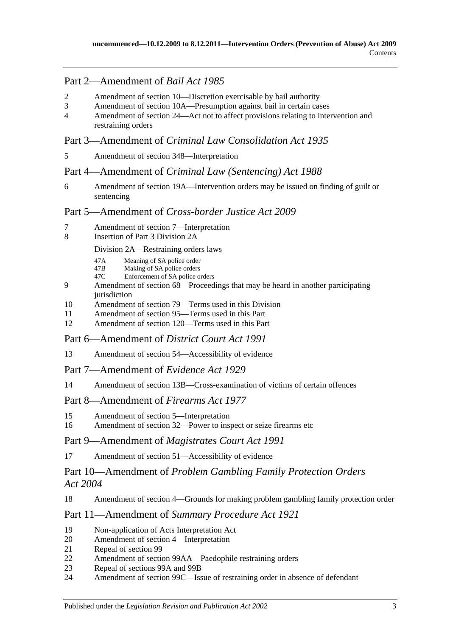## Part 2—Amendment of *Bail Act 1985*

- 2 [Amendment of section 10—Discretion exercisable by bail authority](#page-27-5)
- 3 [Amendment of section 10A—Presumption against bail in certain cases](#page-27-6)
- 4 [Amendment of section 24—Act not to affect provisions relating to intervention and](#page-27-7)  [restraining orders](#page-27-7)

## Part 3—Amendment of *Criminal Law Consolidation Act 1935*

5 [Amendment of section 348—Interpretation](#page-28-0)

### Part 4—Amendment of *Criminal Law (Sentencing) Act 1988*

6 [Amendment of section 19A—Intervention orders may be issued on finding of guilt or](#page-28-1)  [sentencing](#page-28-1)

### Part 5—Amendment of *Cross-border Justice Act 2009*

- 7 [Amendment of section 7—Interpretation](#page-28-2)
- 8 [Insertion of Part 3 Division 2A](#page-28-3)

### Division 2A—Restraining orders laws

- 47A Meaning of SA police order<br>47B Making of SA police orders
- 47B Making of SA police orders<br>47C Enforcement of SA police of
- Enforcement of SA police orders
- 9 [Amendment of section 68—Proceedings that may be heard in another participating](#page-29-0)  iurisdiction
- 10 [Amendment of section 79—Terms used in this Division](#page-29-1)
- 11 [Amendment of section 95—Terms used in this Part](#page-29-2)
- 12 [Amendment of section 120—Terms used in this Part](#page-29-3)
- Part 6—Amendment of *District Court Act 1991*
- 13 [Amendment of section 54—Accessibility of evidence](#page-30-0)
- Part 7—Amendment of *Evidence Act 1929*
- 14 [Amendment of section 13B—Cross-examination of victims of certain offences](#page-30-1)

### Part 8—Amendment of *Firearms Act 1977*

- 15 [Amendment of section 5—Interpretation](#page-30-2)
- 16 [Amendment of section 32—Power to inspect or seize firearms etc](#page-30-3)

### Part 9—Amendment of *Magistrates Court Act 1991*

17 [Amendment of section 51—Accessibility of evidence](#page-31-0)

## Part 10—Amendment of *Problem Gambling Family Protection Orders Act 2004*

### 18 [Amendment of section 4—Grounds for making problem gambling family protection order](#page-31-1)

### Part 11—Amendment of *Summary Procedure Act 1921*

- 19 [Non-application of Acts Interpretation Act](#page-31-2)
- 20 [Amendment of section 4—Interpretation](#page-31-3)
- 21 [Repeal of section 99](#page-31-4)
- 22 [Amendment of section 99AA—Paedophile restraining orders](#page-31-5)
- 23 [Repeal of sections 99A and 99B](#page-31-6)
- 24 [Amendment of section 99C—Issue of restraining order in absence of defendant](#page-32-0)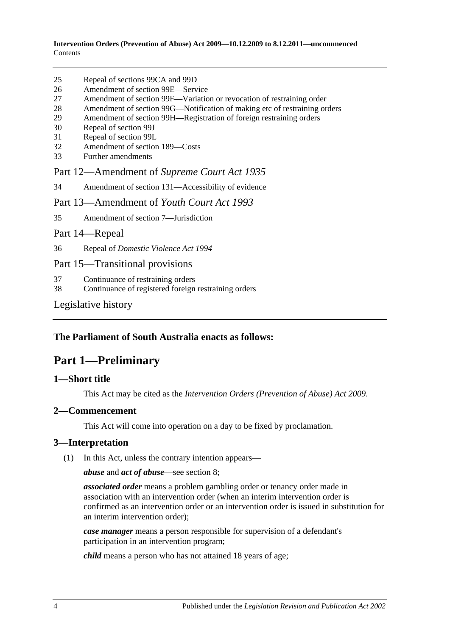| 25 | Repeal of sections 99CA and 99D |  |  |
|----|---------------------------------|--|--|
|    |                                 |  |  |

- 26 [Amendment of section 99E—Service](#page-32-2)
- 27 [Amendment of section 99F—Variation or revocation of restraining order](#page-32-3)
- 28 [Amendment of section 99G—Notification of making etc of restraining orders](#page-32-4)
- 29 [Amendment of section 99H—Registration of foreign restraining orders](#page-32-5)
- 30 [Repeal of section 99J](#page-32-6)
- 31 [Repeal of section 99L](#page-32-7)
- 32 [Amendment of section 189—Costs](#page-32-8)
- 33 [Further amendments](#page-32-9)

Part 12—Amendment of *Supreme Court Act 1935*

34 [Amendment of section 131—Accessibility of evidence](#page-33-0)

Part 13—Amendment of *Youth Court Act 1993*

35 [Amendment of section 7—Jurisdiction](#page-33-1)

#### Part 14—Repeal

36 Repeal of *[Domestic Violence Act](#page-33-2) 1994*

### Part 15—Transitional provisions

- 37 [Continuance of restraining orders](#page-33-3)
- 38 [Continuance of registered foreign restraining orders](#page-33-4)

[Legislative history](#page-35-0)

### <span id="page-3-0"></span>**The Parliament of South Australia enacts as follows:**

## **Part 1—Preliminary**

### <span id="page-3-1"></span>**1—Short title**

This Act may be cited as the *Intervention Orders (Prevention of Abuse) Act 2009*.

#### <span id="page-3-2"></span>**2—Commencement**

This Act will come into operation on a day to be fixed by proclamation.

#### <span id="page-3-3"></span>**3—Interpretation**

(1) In this Act, unless the contrary intention appears—

*abuse* and *act of abuse*—see [section](#page-6-4) 8;

*associated order* means a problem gambling order or tenancy order made in association with an intervention order (when an interim intervention order is confirmed as an intervention order or an intervention order is issued in substitution for an interim intervention order);

*case manager* means a person responsible for supervision of a defendant's participation in an intervention program;

*child* means a person who has not attained 18 years of age;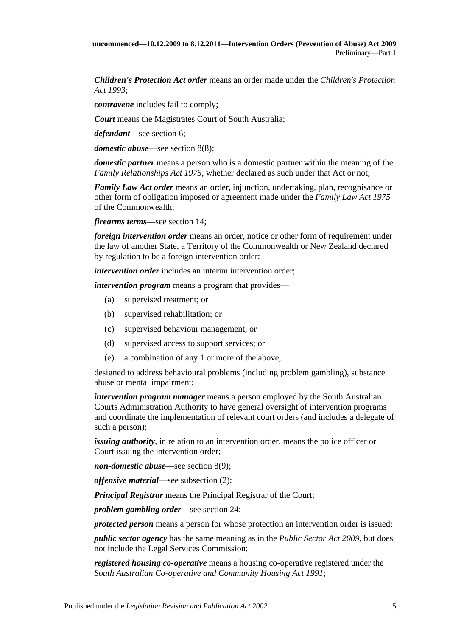*Children's Protection Act order* means an order made under the *[Children's Protection](http://www.legislation.sa.gov.au/index.aspx?action=legref&type=act&legtitle=Childrens%20Protection%20Act%201993)  Act [1993](http://www.legislation.sa.gov.au/index.aspx?action=legref&type=act&legtitle=Childrens%20Protection%20Act%201993)*;

*contravene* includes fail to comply;

*Court* means the Magistrates Court of South Australia;

*defendant*—see [section](#page-6-2) 6;

*domestic abuse*—see [section](#page-8-0) 8(8);

*domestic partner* means a person who is a domestic partner within the meaning of the *[Family Relationships Act](http://www.legislation.sa.gov.au/index.aspx?action=legref&type=act&legtitle=Family%20Relationships%20Act%201975) 1975*, whether declared as such under that Act or not;

*Family Law Act order* means an order, injunction, undertaking, plan, recognisance or other form of obligation imposed or agreement made under the *Family Law Act 1975* of the Commonwealth;

*firearms terms*—see [section](#page-12-1) 14;

*foreign intervention order* means an order, notice or other form of requirement under the law of another State, a Territory of the Commonwealth or New Zealand declared by regulation to be a foreign intervention order;

*intervention order* includes an interim intervention order;

*intervention program* means a program that provides—

- (a) supervised treatment; or
- (b) supervised rehabilitation; or
- (c) supervised behaviour management; or
- (d) supervised access to support services; or
- (e) a combination of any 1 or more of the above,

designed to address behavioural problems (including problem gambling), substance abuse or mental impairment;

*intervention program manager* means a person employed by the South Australian Courts Administration Authority to have general oversight of intervention programs and coordinate the implementation of relevant court orders (and includes a delegate of such a person);

*issuing authority*, in relation to an intervention order, means the police officer or Court issuing the intervention order;

*non-domestic abuse*—see [section](#page-9-2) 8(9);

*offensive material*—see [subsection](#page-5-3) (2);

*Principal Registrar* means the Principal Registrar of the Court;

*problem gambling order*—see [section](#page-18-0) 24;

*protected person* means a person for whose protection an intervention order is issued;

*public sector agency* has the same meaning as in the *[Public Sector Act](http://www.legislation.sa.gov.au/index.aspx?action=legref&type=act&legtitle=Public%20Sector%20Act%202009) 2009*, but does not include the Legal Services Commission;

*registered housing co-operative* means a housing co-operative registered under the *[South Australian Co-operative and Community Housing Act](http://www.legislation.sa.gov.au/index.aspx?action=legref&type=act&legtitle=South%20Australian%20Co-operative%20and%20Community%20Housing%20Act%201991) 1991*;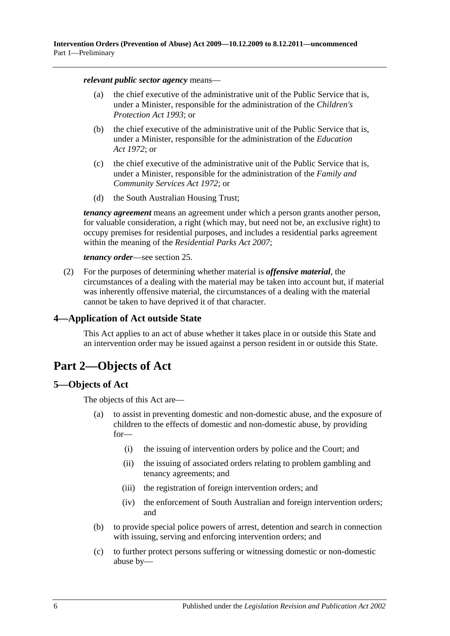*relevant public sector agency* means—

- (a) the chief executive of the administrative unit of the Public Service that is, under a Minister, responsible for the administration of the *[Children's](http://www.legislation.sa.gov.au/index.aspx?action=legref&type=act&legtitle=Childrens%20Protection%20Act%201993)  [Protection Act](http://www.legislation.sa.gov.au/index.aspx?action=legref&type=act&legtitle=Childrens%20Protection%20Act%201993) 1993*; or
- (b) the chief executive of the administrative unit of the Public Service that is, under a Minister, responsible for the administration of the *[Education](http://www.legislation.sa.gov.au/index.aspx?action=legref&type=act&legtitle=Education%20Act%201972)  Act [1972](http://www.legislation.sa.gov.au/index.aspx?action=legref&type=act&legtitle=Education%20Act%201972)*; or
- (c) the chief executive of the administrative unit of the Public Service that is, under a Minister, responsible for the administration of the *[Family and](http://www.legislation.sa.gov.au/index.aspx?action=legref&type=act&legtitle=Family%20and%20Community%20Services%20Act%201972)  [Community Services Act](http://www.legislation.sa.gov.au/index.aspx?action=legref&type=act&legtitle=Family%20and%20Community%20Services%20Act%201972) 1972*; or
- (d) the South Australian Housing Trust;

*tenancy agreement* means an agreement under which a person grants another person, for valuable consideration, a right (which may, but need not be, an exclusive right) to occupy premises for residential purposes, and includes a residential parks agreement within the meaning of the *[Residential Parks Act](http://www.legislation.sa.gov.au/index.aspx?action=legref&type=act&legtitle=Residential%20Parks%20Act%202007) 2007*;

#### *tenancy order*—see [section](#page-18-1) 25.

<span id="page-5-3"></span>(2) For the purposes of determining whether material is *offensive material*, the circumstances of a dealing with the material may be taken into account but, if material was inherently offensive material, the circumstances of a dealing with the material cannot be taken to have deprived it of that character.

### <span id="page-5-0"></span>**4—Application of Act outside State**

This Act applies to an act of abuse whether it takes place in or outside this State and an intervention order may be issued against a person resident in or outside this State.

## <span id="page-5-1"></span>**Part 2—Objects of Act**

### <span id="page-5-2"></span>**5—Objects of Act**

The objects of this Act are—

- (a) to assist in preventing domestic and non-domestic abuse, and the exposure of children to the effects of domestic and non-domestic abuse, by providing for—
	- (i) the issuing of intervention orders by police and the Court; and
	- (ii) the issuing of associated orders relating to problem gambling and tenancy agreements; and
	- (iii) the registration of foreign intervention orders; and
	- (iv) the enforcement of South Australian and foreign intervention orders; and
- (b) to provide special police powers of arrest, detention and search in connection with issuing, serving and enforcing intervention orders; and
- (c) to further protect persons suffering or witnessing domestic or non-domestic abuse by—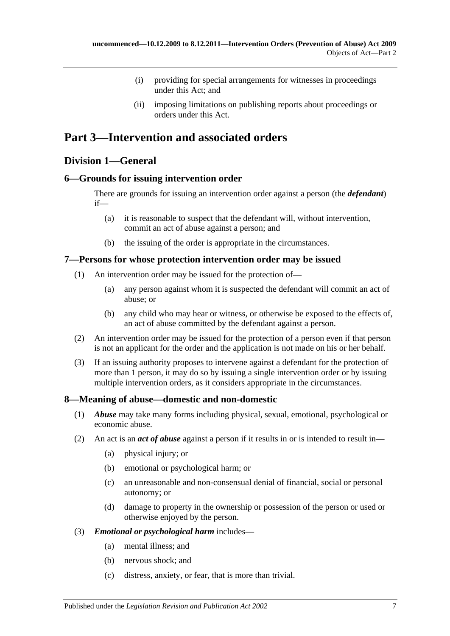- (i) providing for special arrangements for witnesses in proceedings under this Act; and
- (ii) imposing limitations on publishing reports about proceedings or orders under this Act.

## <span id="page-6-0"></span>**Part 3—Intervention and associated orders**

## <span id="page-6-1"></span>**Division 1—General**

### <span id="page-6-2"></span>**6—Grounds for issuing intervention order**

There are grounds for issuing an intervention order against a person (the *defendant*) if—

- (a) it is reasonable to suspect that the defendant will, without intervention, commit an act of abuse against a person; and
- (b) the issuing of the order is appropriate in the circumstances.

### <span id="page-6-3"></span>**7—Persons for whose protection intervention order may be issued**

- (1) An intervention order may be issued for the protection of—
	- (a) any person against whom it is suspected the defendant will commit an act of abuse; or
	- (b) any child who may hear or witness, or otherwise be exposed to the effects of, an act of abuse committed by the defendant against a person.
- (2) An intervention order may be issued for the protection of a person even if that person is not an applicant for the order and the application is not made on his or her behalf.
- (3) If an issuing authority proposes to intervene against a defendant for the protection of more than 1 person, it may do so by issuing a single intervention order or by issuing multiple intervention orders, as it considers appropriate in the circumstances.

### <span id="page-6-4"></span>**8—Meaning of abuse—domestic and non-domestic**

- (1) *Abuse* may take many forms including physical, sexual, emotional, psychological or economic abuse.
- <span id="page-6-6"></span><span id="page-6-5"></span>(2) An act is an *act of abuse* against a person if it results in or is intended to result in—
	- (a) physical injury; or
	- (b) emotional or psychological harm; or
	- (c) an unreasonable and non-consensual denial of financial, social or personal autonomy; or
	- (d) damage to property in the ownership or possession of the person or used or otherwise enjoyed by the person.
- (3) *Emotional or psychological harm* includes—
	- (a) mental illness; and
	- (b) nervous shock; and
	- (c) distress, anxiety, or fear, that is more than trivial.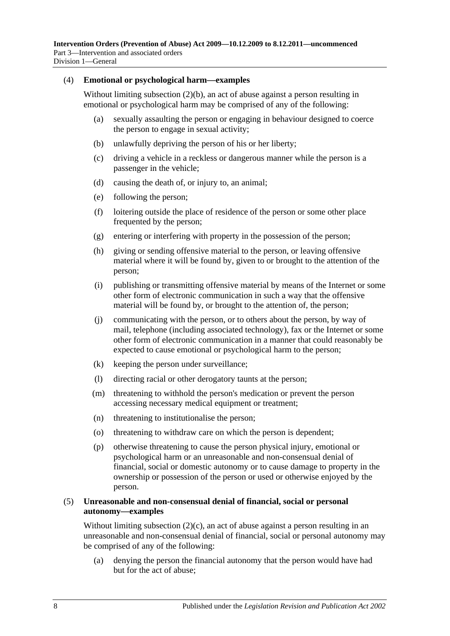#### (4) **Emotional or psychological harm—examples**

Without limiting [subsection](#page-6-5) (2)(b), an act of abuse against a person resulting in emotional or psychological harm may be comprised of any of the following:

- (a) sexually assaulting the person or engaging in behaviour designed to coerce the person to engage in sexual activity;
- (b) unlawfully depriving the person of his or her liberty;
- (c) driving a vehicle in a reckless or dangerous manner while the person is a passenger in the vehicle;
- (d) causing the death of, or injury to, an animal;
- (e) following the person;
- (f) loitering outside the place of residence of the person or some other place frequented by the person;
- (g) entering or interfering with property in the possession of the person;
- (h) giving or sending offensive material to the person, or leaving offensive material where it will be found by, given to or brought to the attention of the person;
- (i) publishing or transmitting offensive material by means of the Internet or some other form of electronic communication in such a way that the offensive material will be found by, or brought to the attention of, the person;
- (j) communicating with the person, or to others about the person, by way of mail, telephone (including associated technology), fax or the Internet or some other form of electronic communication in a manner that could reasonably be expected to cause emotional or psychological harm to the person;
- (k) keeping the person under surveillance;
- (l) directing racial or other derogatory taunts at the person;
- (m) threatening to withhold the person's medication or prevent the person accessing necessary medical equipment or treatment;
- (n) threatening to institutionalise the person;
- (o) threatening to withdraw care on which the person is dependent;
- (p) otherwise threatening to cause the person physical injury, emotional or psychological harm or an unreasonable and non-consensual denial of financial, social or domestic autonomy or to cause damage to property in the ownership or possession of the person or used or otherwise enjoyed by the person.

#### (5) **Unreasonable and non-consensual denial of financial, social or personal autonomy—examples**

Without limiting [subsection](#page-6-6) (2)(c), an act of abuse against a person resulting in an unreasonable and non-consensual denial of financial, social or personal autonomy may be comprised of any of the following:

(a) denying the person the financial autonomy that the person would have had but for the act of abuse;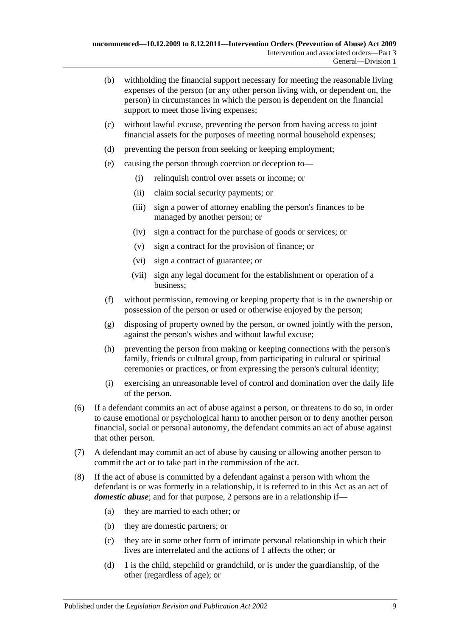- (b) withholding the financial support necessary for meeting the reasonable living expenses of the person (or any other person living with, or dependent on, the person) in circumstances in which the person is dependent on the financial support to meet those living expenses;
- (c) without lawful excuse, preventing the person from having access to joint financial assets for the purposes of meeting normal household expenses;
- (d) preventing the person from seeking or keeping employment;
- (e) causing the person through coercion or deception to—
	- (i) relinquish control over assets or income; or
	- (ii) claim social security payments; or
	- (iii) sign a power of attorney enabling the person's finances to be managed by another person; or
	- (iv) sign a contract for the purchase of goods or services; or
	- (v) sign a contract for the provision of finance; or
	- (vi) sign a contract of guarantee; or
	- (vii) sign any legal document for the establishment or operation of a business;
- (f) without permission, removing or keeping property that is in the ownership or possession of the person or used or otherwise enjoyed by the person;
- (g) disposing of property owned by the person, or owned jointly with the person, against the person's wishes and without lawful excuse;
- (h) preventing the person from making or keeping connections with the person's family, friends or cultural group, from participating in cultural or spiritual ceremonies or practices, or from expressing the person's cultural identity;
- (i) exercising an unreasonable level of control and domination over the daily life of the person.
- (6) If a defendant commits an act of abuse against a person, or threatens to do so, in order to cause emotional or psychological harm to another person or to deny another person financial, social or personal autonomy, the defendant commits an act of abuse against that other person.
- (7) A defendant may commit an act of abuse by causing or allowing another person to commit the act or to take part in the commission of the act.
- <span id="page-8-3"></span><span id="page-8-2"></span><span id="page-8-1"></span><span id="page-8-0"></span>(8) If the act of abuse is committed by a defendant against a person with whom the defendant is or was formerly in a relationship, it is referred to in this Act as an act of *domestic abuse*; and for that purpose, 2 persons are in a relationship if—
	- (a) they are married to each other; or
	- (b) they are domestic partners; or
	- (c) they are in some other form of intimate personal relationship in which their lives are interrelated and the actions of 1 affects the other; or
	- (d) 1 is the child, stepchild or grandchild, or is under the guardianship, of the other (regardless of age); or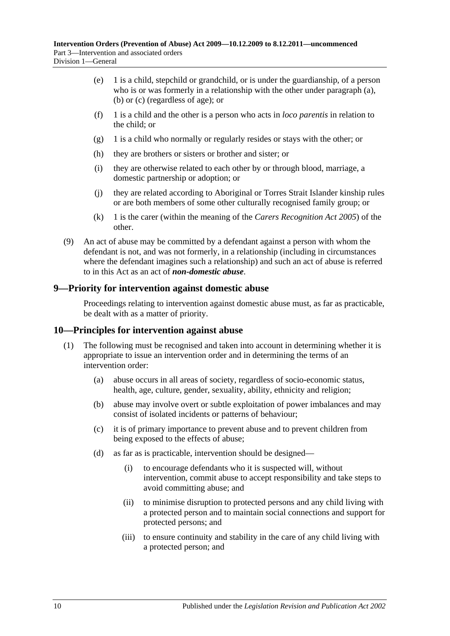- (e) 1 is a child, stepchild or grandchild, or is under the guardianship, of a person who is or was formerly in a relationship with the other under [paragraph](#page-8-1) (a), [\(b\)](#page-8-2) or [\(c\)](#page-8-3) (regardless of age); or
- (f) 1 is a child and the other is a person who acts in *loco parentis* in relation to the child; or
- (g) 1 is a child who normally or regularly resides or stays with the other; or
- (h) they are brothers or sisters or brother and sister; or
- (i) they are otherwise related to each other by or through blood, marriage, a domestic partnership or adoption; or
- (j) they are related according to Aboriginal or Torres Strait Islander kinship rules or are both members of some other culturally recognised family group; or
- (k) 1 is the carer (within the meaning of the *[Carers Recognition Act](http://www.legislation.sa.gov.au/index.aspx?action=legref&type=act&legtitle=Carers%20Recognition%20Act%202005) 2005*) of the other.
- <span id="page-9-2"></span>(9) An act of abuse may be committed by a defendant against a person with whom the defendant is not, and was not formerly, in a relationship (including in circumstances where the defendant imagines such a relationship) and such an act of abuse is referred to in this Act as an act of *non-domestic abuse*.

### <span id="page-9-0"></span>**9—Priority for intervention against domestic abuse**

Proceedings relating to intervention against domestic abuse must, as far as practicable, be dealt with as a matter of priority.

### <span id="page-9-1"></span>**10—Principles for intervention against abuse**

- (1) The following must be recognised and taken into account in determining whether it is appropriate to issue an intervention order and in determining the terms of an intervention order:
	- (a) abuse occurs in all areas of society, regardless of socio-economic status, health, age, culture, gender, sexuality, ability, ethnicity and religion;
	- (b) abuse may involve overt or subtle exploitation of power imbalances and may consist of isolated incidents or patterns of behaviour;
	- (c) it is of primary importance to prevent abuse and to prevent children from being exposed to the effects of abuse;
	- (d) as far as is practicable, intervention should be designed—
		- (i) to encourage defendants who it is suspected will, without intervention, commit abuse to accept responsibility and take steps to avoid committing abuse; and
		- (ii) to minimise disruption to protected persons and any child living with a protected person and to maintain social connections and support for protected persons; and
		- (iii) to ensure continuity and stability in the care of any child living with a protected person; and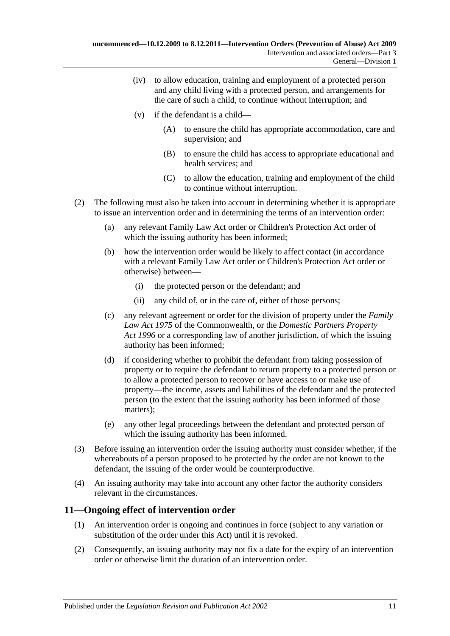- (iv) to allow education, training and employment of a protected person and any child living with a protected person, and arrangements for the care of such a child, to continue without interruption; and
- (v) if the defendant is a child—
	- (A) to ensure the child has appropriate accommodation, care and supervision; and
	- (B) to ensure the child has access to appropriate educational and health services; and
	- (C) to allow the education, training and employment of the child to continue without interruption.
- (2) The following must also be taken into account in determining whether it is appropriate to issue an intervention order and in determining the terms of an intervention order:
	- (a) any relevant Family Law Act order or Children's Protection Act order of which the issuing authority has been informed;
	- (b) how the intervention order would be likely to affect contact (in accordance with a relevant Family Law Act order or Children's Protection Act order or otherwise) between—
		- (i) the protected person or the defendant; and
		- (ii) any child of, or in the care of, either of those persons;
	- (c) any relevant agreement or order for the division of property under the *Family Law Act 1975* of the Commonwealth, or the *[Domestic Partners Property](http://www.legislation.sa.gov.au/index.aspx?action=legref&type=act&legtitle=Domestic%20Partners%20Property%20Act%201996)  Act [1996](http://www.legislation.sa.gov.au/index.aspx?action=legref&type=act&legtitle=Domestic%20Partners%20Property%20Act%201996)* or a corresponding law of another jurisdiction, of which the issuing authority has been informed;
	- (d) if considering whether to prohibit the defendant from taking possession of property or to require the defendant to return property to a protected person or to allow a protected person to recover or have access to or make use of property—the income, assets and liabilities of the defendant and the protected person (to the extent that the issuing authority has been informed of those matters);
	- (e) any other legal proceedings between the defendant and protected person of which the issuing authority has been informed.
- (3) Before issuing an intervention order the issuing authority must consider whether, if the whereabouts of a person proposed to be protected by the order are not known to the defendant, the issuing of the order would be counterproductive.
- (4) An issuing authority may take into account any other factor the authority considers relevant in the circumstances.

## <span id="page-10-0"></span>**11—Ongoing effect of intervention order**

- (1) An intervention order is ongoing and continues in force (subject to any variation or substitution of the order under this Act) until it is revoked.
- (2) Consequently, an issuing authority may not fix a date for the expiry of an intervention order or otherwise limit the duration of an intervention order.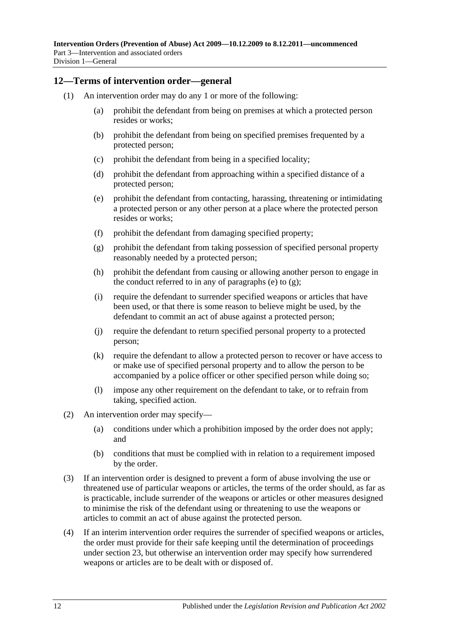### <span id="page-11-0"></span>**12—Terms of intervention order—general**

- <span id="page-11-2"></span><span id="page-11-1"></span>(1) An intervention order may do any 1 or more of the following:
	- (a) prohibit the defendant from being on premises at which a protected person resides or works;
	- (b) prohibit the defendant from being on specified premises frequented by a protected person;
	- (c) prohibit the defendant from being in a specified locality;
	- (d) prohibit the defendant from approaching within a specified distance of a protected person;
	- (e) prohibit the defendant from contacting, harassing, threatening or intimidating a protected person or any other person at a place where the protected person resides or works;
	- (f) prohibit the defendant from damaging specified property;
	- (g) prohibit the defendant from taking possession of specified personal property reasonably needed by a protected person;
	- (h) prohibit the defendant from causing or allowing another person to engage in the conduct referred to in any of [paragraphs](#page-11-1) (e) to  $(g)$ ;
	- (i) require the defendant to surrender specified weapons or articles that have been used, or that there is some reason to believe might be used, by the defendant to commit an act of abuse against a protected person;
	- (j) require the defendant to return specified personal property to a protected person;
	- (k) require the defendant to allow a protected person to recover or have access to or make use of specified personal property and to allow the person to be accompanied by a police officer or other specified person while doing so;
	- (l) impose any other requirement on the defendant to take, or to refrain from taking, specified action.
- (2) An intervention order may specify—
	- (a) conditions under which a prohibition imposed by the order does not apply; and
	- (b) conditions that must be complied with in relation to a requirement imposed by the order.
- (3) If an intervention order is designed to prevent a form of abuse involving the use or threatened use of particular weapons or articles, the terms of the order should, as far as is practicable, include surrender of the weapons or articles or other measures designed to minimise the risk of the defendant using or threatening to use the weapons or articles to commit an act of abuse against the protected person.
- (4) If an interim intervention order requires the surrender of specified weapons or articles, the order must provide for their safe keeping until the determination of proceedings under [section](#page-17-1) 23, but otherwise an intervention order may specify how surrendered weapons or articles are to be dealt with or disposed of.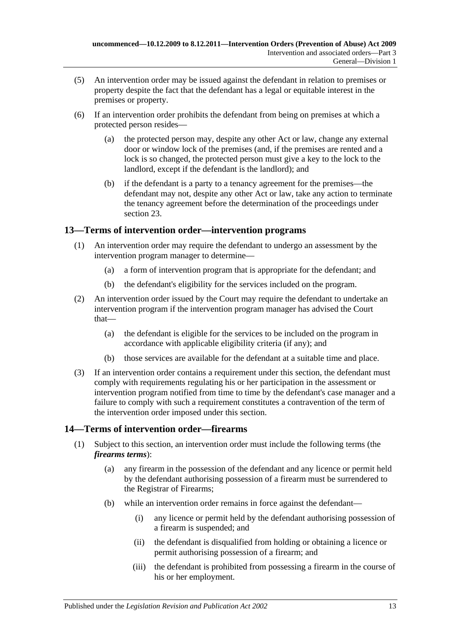- (5) An intervention order may be issued against the defendant in relation to premises or property despite the fact that the defendant has a legal or equitable interest in the premises or property.
- (6) If an intervention order prohibits the defendant from being on premises at which a protected person resides—
	- (a) the protected person may, despite any other Act or law, change any external door or window lock of the premises (and, if the premises are rented and a lock is so changed, the protected person must give a key to the lock to the landlord, except if the defendant is the landlord); and
	- (b) if the defendant is a party to a tenancy agreement for the premises—the defendant may not, despite any other Act or law, take any action to terminate the tenancy agreement before the determination of the proceedings under [section](#page-17-1) 23.

## <span id="page-12-0"></span>**13—Terms of intervention order—intervention programs**

- (1) An intervention order may require the defendant to undergo an assessment by the intervention program manager to determine—
	- (a) a form of intervention program that is appropriate for the defendant; and
	- (b) the defendant's eligibility for the services included on the program.
- (2) An intervention order issued by the Court may require the defendant to undertake an intervention program if the intervention program manager has advised the Court that—
	- (a) the defendant is eligible for the services to be included on the program in accordance with applicable eligibility criteria (if any); and
	- (b) those services are available for the defendant at a suitable time and place.
- (3) If an intervention order contains a requirement under this section, the defendant must comply with requirements regulating his or her participation in the assessment or intervention program notified from time to time by the defendant's case manager and a failure to comply with such a requirement constitutes a contravention of the term of the intervention order imposed under this section.

## <span id="page-12-1"></span>**14—Terms of intervention order—firearms**

- (1) Subject to this section, an intervention order must include the following terms (the *firearms terms*):
	- (a) any firearm in the possession of the defendant and any licence or permit held by the defendant authorising possession of a firearm must be surrendered to the Registrar of Firearms;
	- (b) while an intervention order remains in force against the defendant—
		- (i) any licence or permit held by the defendant authorising possession of a firearm is suspended; and
		- (ii) the defendant is disqualified from holding or obtaining a licence or permit authorising possession of a firearm; and
		- (iii) the defendant is prohibited from possessing a firearm in the course of his or her employment.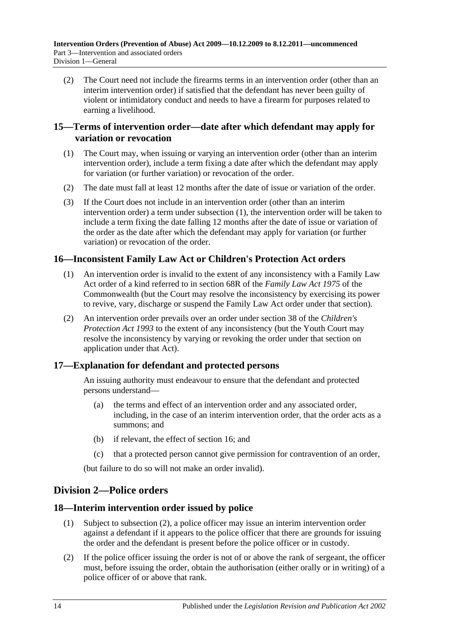(2) The Court need not include the firearms terms in an intervention order (other than an interim intervention order) if satisfied that the defendant has never been guilty of violent or intimidatory conduct and needs to have a firearm for purposes related to earning a livelihood.

## <span id="page-13-0"></span>**15—Terms of intervention order—date after which defendant may apply for variation or revocation**

- <span id="page-13-5"></span>(1) The Court may, when issuing or varying an intervention order (other than an interim intervention order), include a term fixing a date after which the defendant may apply for variation (or further variation) or revocation of the order.
- (2) The date must fall at least 12 months after the date of issue or variation of the order.
- (3) If the Court does not include in an intervention order (other than an interim intervention order) a term under [subsection](#page-13-5) (1), the intervention order will be taken to include a term fixing the date falling 12 months after the date of issue or variation of the order as the date after which the defendant may apply for variation (or further variation) or revocation of the order.

## <span id="page-13-1"></span>**16—Inconsistent Family Law Act or Children's Protection Act orders**

- (1) An intervention order is invalid to the extent of any inconsistency with a Family Law Act order of a kind referred to in section 68R of the *Family Law Act 1975* of the Commonwealth (but the Court may resolve the inconsistency by exercising its power to revive, vary, discharge or suspend the Family Law Act order under that section).
- (2) An intervention order prevails over an order under section 38 of the *[Children's](http://www.legislation.sa.gov.au/index.aspx?action=legref&type=act&legtitle=Childrens%20Protection%20Act%201993)  [Protection Act](http://www.legislation.sa.gov.au/index.aspx?action=legref&type=act&legtitle=Childrens%20Protection%20Act%201993) 1993* to the extent of any inconsistency (but the Youth Court may resolve the inconsistency by varying or revoking the order under that section on application under that Act).

## <span id="page-13-2"></span>**17—Explanation for defendant and protected persons**

An issuing authority must endeavour to ensure that the defendant and protected persons understand—

- (a) the terms and effect of an intervention order and any associated order, including, in the case of an interim intervention order, that the order acts as a summons; and
- (b) if relevant, the effect of [section](#page-13-1) 16; and
- (c) that a protected person cannot give permission for contravention of an order,

(but failure to do so will not make an order invalid).

## <span id="page-13-3"></span>**Division 2—Police orders**

## <span id="page-13-4"></span>**18—Interim intervention order issued by police**

- (1) Subject to [subsection](#page-13-6) (2), a police officer may issue an interim intervention order against a defendant if it appears to the police officer that there are grounds for issuing the order and the defendant is present before the police officer or in custody.
- <span id="page-13-6"></span>(2) If the police officer issuing the order is not of or above the rank of sergeant, the officer must, before issuing the order, obtain the authorisation (either orally or in writing) of a police officer of or above that rank.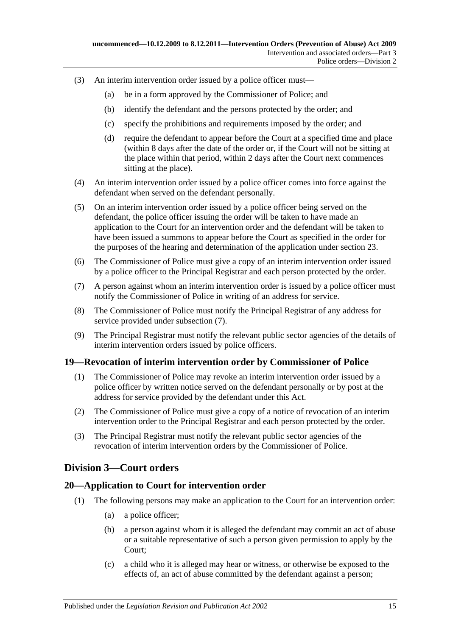- (3) An interim intervention order issued by a police officer must—
	- (a) be in a form approved by the Commissioner of Police; and
	- (b) identify the defendant and the persons protected by the order; and
	- (c) specify the prohibitions and requirements imposed by the order; and
	- (d) require the defendant to appear before the Court at a specified time and place (within 8 days after the date of the order or, if the Court will not be sitting at the place within that period, within 2 days after the Court next commences sitting at the place).
- (4) An interim intervention order issued by a police officer comes into force against the defendant when served on the defendant personally.
- (5) On an interim intervention order issued by a police officer being served on the defendant, the police officer issuing the order will be taken to have made an application to the Court for an intervention order and the defendant will be taken to have been issued a summons to appear before the Court as specified in the order for the purposes of the hearing and determination of the application under [section](#page-17-1) 23.
- (6) The Commissioner of Police must give a copy of an interim intervention order issued by a police officer to the Principal Registrar and each person protected by the order.
- <span id="page-14-3"></span>(7) A person against whom an interim intervention order is issued by a police officer must notify the Commissioner of Police in writing of an address for service.
- (8) The Commissioner of Police must notify the Principal Registrar of any address for service provided under [subsection](#page-14-3) (7).
- (9) The Principal Registrar must notify the relevant public sector agencies of the details of interim intervention orders issued by police officers.

### <span id="page-14-0"></span>**19—Revocation of interim intervention order by Commissioner of Police**

- (1) The Commissioner of Police may revoke an interim intervention order issued by a police officer by written notice served on the defendant personally or by post at the address for service provided by the defendant under this Act.
- (2) The Commissioner of Police must give a copy of a notice of revocation of an interim intervention order to the Principal Registrar and each person protected by the order.
- (3) The Principal Registrar must notify the relevant public sector agencies of the revocation of interim intervention orders by the Commissioner of Police.

### <span id="page-14-1"></span>**Division 3—Court orders**

### <span id="page-14-2"></span>**20—Application to Court for intervention order**

- (1) The following persons may make an application to the Court for an intervention order:
	- (a) a police officer;
	- (b) a person against whom it is alleged the defendant may commit an act of abuse or a suitable representative of such a person given permission to apply by the Court;
	- (c) a child who it is alleged may hear or witness, or otherwise be exposed to the effects of, an act of abuse committed by the defendant against a person;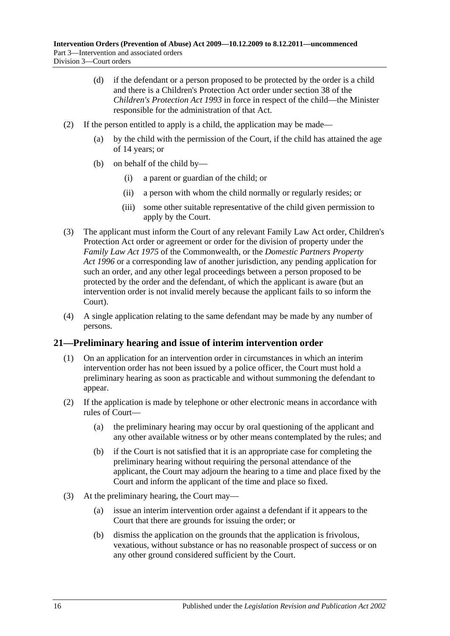- (d) if the defendant or a person proposed to be protected by the order is a child and there is a Children's Protection Act order under section 38 of the *[Children's Protection Act](http://www.legislation.sa.gov.au/index.aspx?action=legref&type=act&legtitle=Childrens%20Protection%20Act%201993) 1993* in force in respect of the child—the Minister responsible for the administration of that Act.
- (2) If the person entitled to apply is a child, the application may be made—
	- (a) by the child with the permission of the Court, if the child has attained the age of 14 years; or
	- (b) on behalf of the child by—
		- (i) a parent or guardian of the child; or
		- (ii) a person with whom the child normally or regularly resides; or
		- (iii) some other suitable representative of the child given permission to apply by the Court.
- (3) The applicant must inform the Court of any relevant Family Law Act order, Children's Protection Act order or agreement or order for the division of property under the *Family Law Act 1975* of the Commonwealth, or the *[Domestic Partners Property](http://www.legislation.sa.gov.au/index.aspx?action=legref&type=act&legtitle=Domestic%20Partners%20Property%20Act%201996)  Act [1996](http://www.legislation.sa.gov.au/index.aspx?action=legref&type=act&legtitle=Domestic%20Partners%20Property%20Act%201996)* or a corresponding law of another jurisdiction, any pending application for such an order, and any other legal proceedings between a person proposed to be protected by the order and the defendant, of which the applicant is aware (but an intervention order is not invalid merely because the applicant fails to so inform the Court).
- (4) A single application relating to the same defendant may be made by any number of persons.

### <span id="page-15-0"></span>**21—Preliminary hearing and issue of interim intervention order**

- (1) On an application for an intervention order in circumstances in which an interim intervention order has not been issued by a police officer, the Court must hold a preliminary hearing as soon as practicable and without summoning the defendant to appear.
- (2) If the application is made by telephone or other electronic means in accordance with rules of Court—
	- (a) the preliminary hearing may occur by oral questioning of the applicant and any other available witness or by other means contemplated by the rules; and
	- (b) if the Court is not satisfied that it is an appropriate case for completing the preliminary hearing without requiring the personal attendance of the applicant, the Court may adjourn the hearing to a time and place fixed by the Court and inform the applicant of the time and place so fixed.
- (3) At the preliminary hearing, the Court may—
	- (a) issue an interim intervention order against a defendant if it appears to the Court that there are grounds for issuing the order; or
	- (b) dismiss the application on the grounds that the application is frivolous, vexatious, without substance or has no reasonable prospect of success or on any other ground considered sufficient by the Court.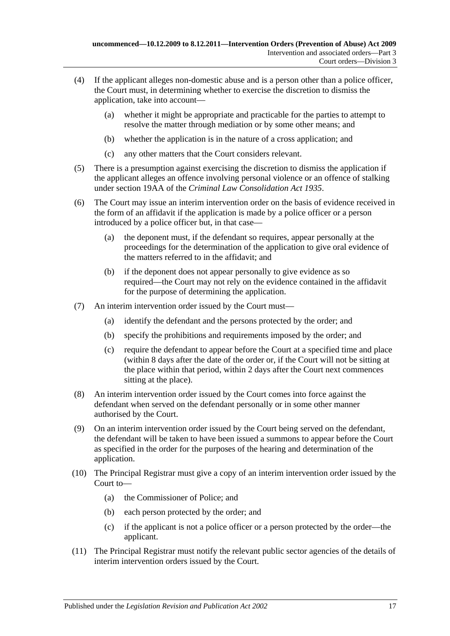- (4) If the applicant alleges non-domestic abuse and is a person other than a police officer, the Court must, in determining whether to exercise the discretion to dismiss the application, take into account—
	- (a) whether it might be appropriate and practicable for the parties to attempt to resolve the matter through mediation or by some other means; and
	- (b) whether the application is in the nature of a cross application; and
	- (c) any other matters that the Court considers relevant.
- (5) There is a presumption against exercising the discretion to dismiss the application if the applicant alleges an offence involving personal violence or an offence of stalking under section 19AA of the *[Criminal Law Consolidation Act](http://www.legislation.sa.gov.au/index.aspx?action=legref&type=act&legtitle=Criminal%20Law%20Consolidation%20Act%201935) 1935*.
- (6) The Court may issue an interim intervention order on the basis of evidence received in the form of an affidavit if the application is made by a police officer or a person introduced by a police officer but, in that case—
	- (a) the deponent must, if the defendant so requires, appear personally at the proceedings for the determination of the application to give oral evidence of the matters referred to in the affidavit; and
	- (b) if the deponent does not appear personally to give evidence as so required—the Court may not rely on the evidence contained in the affidavit for the purpose of determining the application.
- (7) An interim intervention order issued by the Court must—
	- (a) identify the defendant and the persons protected by the order; and
	- (b) specify the prohibitions and requirements imposed by the order; and
	- (c) require the defendant to appear before the Court at a specified time and place (within 8 days after the date of the order or, if the Court will not be sitting at the place within that period, within 2 days after the Court next commences sitting at the place).
- (8) An interim intervention order issued by the Court comes into force against the defendant when served on the defendant personally or in some other manner authorised by the Court.
- (9) On an interim intervention order issued by the Court being served on the defendant, the defendant will be taken to have been issued a summons to appear before the Court as specified in the order for the purposes of the hearing and determination of the application.
- (10) The Principal Registrar must give a copy of an interim intervention order issued by the Court to—
	- (a) the Commissioner of Police; and
	- (b) each person protected by the order; and
	- (c) if the applicant is not a police officer or a person protected by the order—the applicant.
- (11) The Principal Registrar must notify the relevant public sector agencies of the details of interim intervention orders issued by the Court.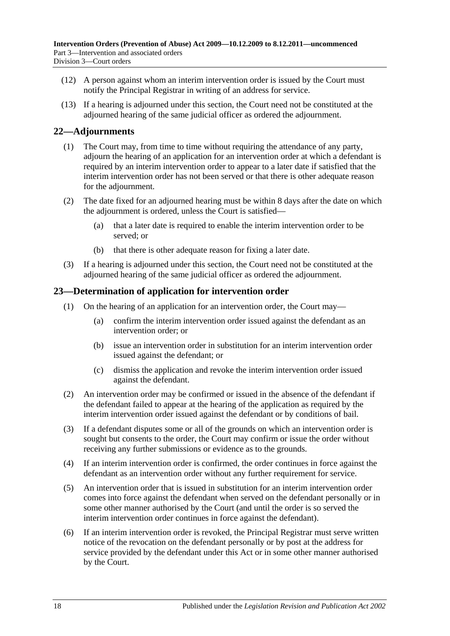- (12) A person against whom an interim intervention order is issued by the Court must notify the Principal Registrar in writing of an address for service.
- (13) If a hearing is adjourned under this section, the Court need not be constituted at the adjourned hearing of the same judicial officer as ordered the adjournment.

### <span id="page-17-0"></span>**22—Adjournments**

- (1) The Court may, from time to time without requiring the attendance of any party, adjourn the hearing of an application for an intervention order at which a defendant is required by an interim intervention order to appear to a later date if satisfied that the interim intervention order has not been served or that there is other adequate reason for the adjournment.
- (2) The date fixed for an adjourned hearing must be within 8 days after the date on which the adjournment is ordered, unless the Court is satisfied—
	- (a) that a later date is required to enable the interim intervention order to be served; or
	- (b) that there is other adequate reason for fixing a later date.
- (3) If a hearing is adjourned under this section, the Court need not be constituted at the adjourned hearing of the same judicial officer as ordered the adjournment.

### <span id="page-17-1"></span>**23—Determination of application for intervention order**

- (1) On the hearing of an application for an intervention order, the Court may—
	- (a) confirm the interim intervention order issued against the defendant as an intervention order; or
	- (b) issue an intervention order in substitution for an interim intervention order issued against the defendant; or
	- (c) dismiss the application and revoke the interim intervention order issued against the defendant.
- (2) An intervention order may be confirmed or issued in the absence of the defendant if the defendant failed to appear at the hearing of the application as required by the interim intervention order issued against the defendant or by conditions of bail.
- (3) If a defendant disputes some or all of the grounds on which an intervention order is sought but consents to the order, the Court may confirm or issue the order without receiving any further submissions or evidence as to the grounds.
- (4) If an interim intervention order is confirmed, the order continues in force against the defendant as an intervention order without any further requirement for service.
- (5) An intervention order that is issued in substitution for an interim intervention order comes into force against the defendant when served on the defendant personally or in some other manner authorised by the Court (and until the order is so served the interim intervention order continues in force against the defendant).
- (6) If an interim intervention order is revoked, the Principal Registrar must serve written notice of the revocation on the defendant personally or by post at the address for service provided by the defendant under this Act or in some other manner authorised by the Court.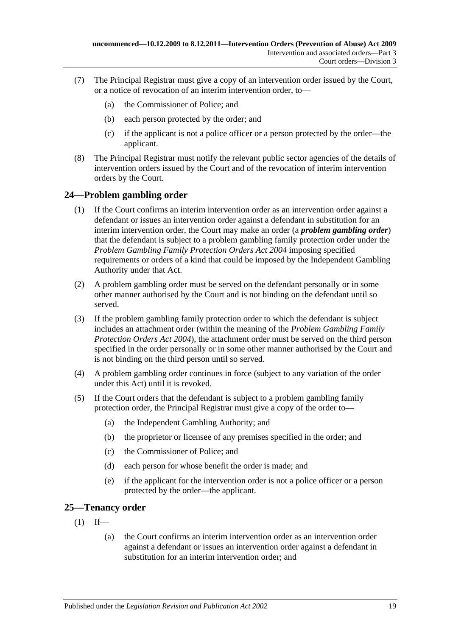- (7) The Principal Registrar must give a copy of an intervention order issued by the Court, or a notice of revocation of an interim intervention order, to—
	- (a) the Commissioner of Police; and
	- (b) each person protected by the order; and
	- (c) if the applicant is not a police officer or a person protected by the order—the applicant.
- (8) The Principal Registrar must notify the relevant public sector agencies of the details of intervention orders issued by the Court and of the revocation of interim intervention orders by the Court.

### <span id="page-18-0"></span>**24—Problem gambling order**

- (1) If the Court confirms an interim intervention order as an intervention order against a defendant or issues an intervention order against a defendant in substitution for an interim intervention order, the Court may make an order (a *problem gambling order*) that the defendant is subject to a problem gambling family protection order under the *[Problem Gambling Family Protection Orders Act](http://www.legislation.sa.gov.au/index.aspx?action=legref&type=act&legtitle=Problem%20Gambling%20Family%20Protection%20Orders%20Act%202004) 2004* imposing specified requirements or orders of a kind that could be imposed by the Independent Gambling Authority under that Act.
- (2) A problem gambling order must be served on the defendant personally or in some other manner authorised by the Court and is not binding on the defendant until so served.
- (3) If the problem gambling family protection order to which the defendant is subject includes an attachment order (within the meaning of the *[Problem Gambling Family](http://www.legislation.sa.gov.au/index.aspx?action=legref&type=act&legtitle=Problem%20Gambling%20Family%20Protection%20Orders%20Act%202004)  [Protection Orders Act](http://www.legislation.sa.gov.au/index.aspx?action=legref&type=act&legtitle=Problem%20Gambling%20Family%20Protection%20Orders%20Act%202004) 2004*), the attachment order must be served on the third person specified in the order personally or in some other manner authorised by the Court and is not binding on the third person until so served.
- (4) A problem gambling order continues in force (subject to any variation of the order under this Act) until it is revoked.
- (5) If the Court orders that the defendant is subject to a problem gambling family protection order, the Principal Registrar must give a copy of the order to—
	- (a) the Independent Gambling Authority; and
	- (b) the proprietor or licensee of any premises specified in the order; and
	- (c) the Commissioner of Police; and
	- (d) each person for whose benefit the order is made; and
	- (e) if the applicant for the intervention order is not a police officer or a person protected by the order—the applicant.

### <span id="page-18-1"></span>**25—Tenancy order**

- $(1)$  If—
	- (a) the Court confirms an interim intervention order as an intervention order against a defendant or issues an intervention order against a defendant in substitution for an interim intervention order; and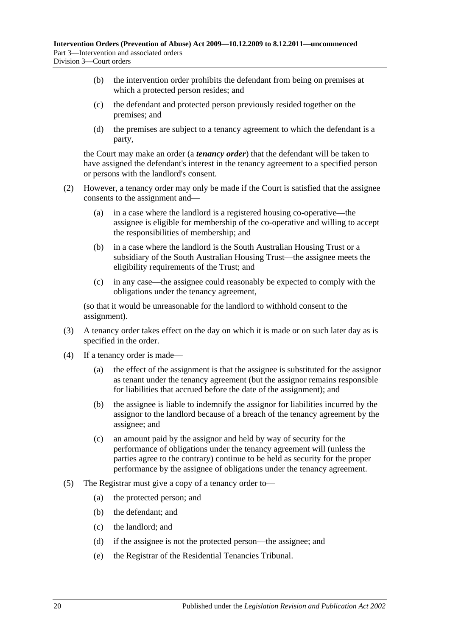- (b) the intervention order prohibits the defendant from being on premises at which a protected person resides; and
- (c) the defendant and protected person previously resided together on the premises; and
- (d) the premises are subject to a tenancy agreement to which the defendant is a party,

the Court may make an order (a *tenancy order*) that the defendant will be taken to have assigned the defendant's interest in the tenancy agreement to a specified person or persons with the landlord's consent.

- (2) However, a tenancy order may only be made if the Court is satisfied that the assignee consents to the assignment and—
	- (a) in a case where the landlord is a registered housing co-operative—the assignee is eligible for membership of the co-operative and willing to accept the responsibilities of membership; and
	- (b) in a case where the landlord is the South Australian Housing Trust or a subsidiary of the South Australian Housing Trust—the assignee meets the eligibility requirements of the Trust; and
	- (c) in any case—the assignee could reasonably be expected to comply with the obligations under the tenancy agreement,

(so that it would be unreasonable for the landlord to withhold consent to the assignment).

- (3) A tenancy order takes effect on the day on which it is made or on such later day as is specified in the order.
- (4) If a tenancy order is made—
	- (a) the effect of the assignment is that the assignee is substituted for the assignor as tenant under the tenancy agreement (but the assignor remains responsible for liabilities that accrued before the date of the assignment); and
	- (b) the assignee is liable to indemnify the assignor for liabilities incurred by the assignor to the landlord because of a breach of the tenancy agreement by the assignee; and
	- (c) an amount paid by the assignor and held by way of security for the performance of obligations under the tenancy agreement will (unless the parties agree to the contrary) continue to be held as security for the proper performance by the assignee of obligations under the tenancy agreement.
- (5) The Registrar must give a copy of a tenancy order to—
	- (a) the protected person; and
	- (b) the defendant; and
	- (c) the landlord; and
	- (d) if the assignee is not the protected person—the assignee; and
	- (e) the Registrar of the Residential Tenancies Tribunal.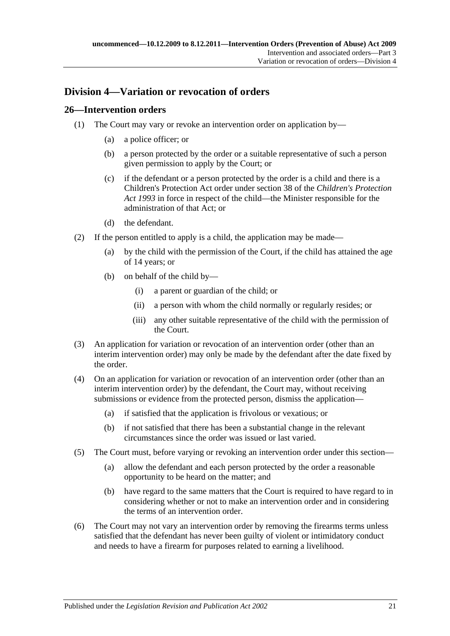## <span id="page-20-0"></span>**Division 4—Variation or revocation of orders**

### <span id="page-20-1"></span>**26—Intervention orders**

- (1) The Court may vary or revoke an intervention order on application by—
	- (a) a police officer; or
	- (b) a person protected by the order or a suitable representative of such a person given permission to apply by the Court; or
	- (c) if the defendant or a person protected by the order is a child and there is a Children's Protection Act order under section 38 of the *[Children's Protection](http://www.legislation.sa.gov.au/index.aspx?action=legref&type=act&legtitle=Childrens%20Protection%20Act%201993)  Act [1993](http://www.legislation.sa.gov.au/index.aspx?action=legref&type=act&legtitle=Childrens%20Protection%20Act%201993)* in force in respect of the child—the Minister responsible for the administration of that Act; or
	- (d) the defendant.
- (2) If the person entitled to apply is a child, the application may be made—
	- (a) by the child with the permission of the Court, if the child has attained the age of 14 years; or
	- (b) on behalf of the child by—
		- (i) a parent or guardian of the child; or
		- (ii) a person with whom the child normally or regularly resides; or
		- (iii) any other suitable representative of the child with the permission of the Court.
- (3) An application for variation or revocation of an intervention order (other than an interim intervention order) may only be made by the defendant after the date fixed by the order.
- (4) On an application for variation or revocation of an intervention order (other than an interim intervention order) by the defendant, the Court may, without receiving submissions or evidence from the protected person, dismiss the application—
	- (a) if satisfied that the application is frivolous or vexatious; or
	- (b) if not satisfied that there has been a substantial change in the relevant circumstances since the order was issued or last varied.
- (5) The Court must, before varying or revoking an intervention order under this section—
	- (a) allow the defendant and each person protected by the order a reasonable opportunity to be heard on the matter; and
	- (b) have regard to the same matters that the Court is required to have regard to in considering whether or not to make an intervention order and in considering the terms of an intervention order.
- (6) The Court may not vary an intervention order by removing the firearms terms unless satisfied that the defendant has never been guilty of violent or intimidatory conduct and needs to have a firearm for purposes related to earning a livelihood.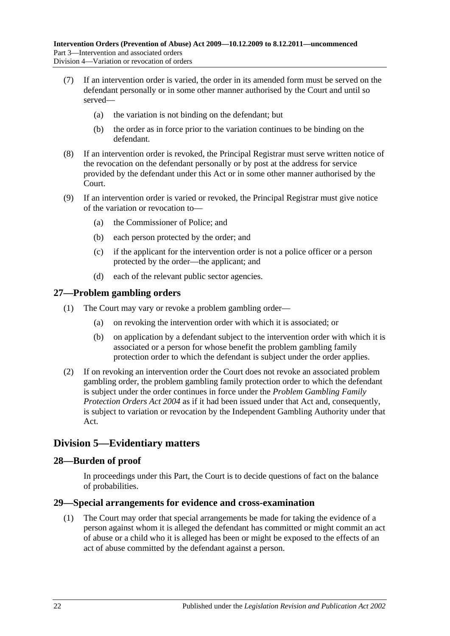- (7) If an intervention order is varied, the order in its amended form must be served on the defendant personally or in some other manner authorised by the Court and until so served—
	- (a) the variation is not binding on the defendant; but
	- (b) the order as in force prior to the variation continues to be binding on the defendant.
- (8) If an intervention order is revoked, the Principal Registrar must serve written notice of the revocation on the defendant personally or by post at the address for service provided by the defendant under this Act or in some other manner authorised by the Court.
- (9) If an intervention order is varied or revoked, the Principal Registrar must give notice of the variation or revocation to—
	- (a) the Commissioner of Police; and
	- (b) each person protected by the order; and
	- (c) if the applicant for the intervention order is not a police officer or a person protected by the order—the applicant; and
	- (d) each of the relevant public sector agencies.

### <span id="page-21-0"></span>**27—Problem gambling orders**

- (1) The Court may vary or revoke a problem gambling order—
	- (a) on revoking the intervention order with which it is associated; or
	- (b) on application by a defendant subject to the intervention order with which it is associated or a person for whose benefit the problem gambling family protection order to which the defendant is subject under the order applies.
- (2) If on revoking an intervention order the Court does not revoke an associated problem gambling order, the problem gambling family protection order to which the defendant is subject under the order continues in force under the *[Problem Gambling Family](http://www.legislation.sa.gov.au/index.aspx?action=legref&type=act&legtitle=Problem%20Gambling%20Family%20Protection%20Orders%20Act%202004)  [Protection Orders Act](http://www.legislation.sa.gov.au/index.aspx?action=legref&type=act&legtitle=Problem%20Gambling%20Family%20Protection%20Orders%20Act%202004) 2004* as if it had been issued under that Act and, consequently, is subject to variation or revocation by the Independent Gambling Authority under that Act.

## <span id="page-21-1"></span>**Division 5—Evidentiary matters**

### <span id="page-21-2"></span>**28—Burden of proof**

In proceedings under this Part, the Court is to decide questions of fact on the balance of probabilities.

### <span id="page-21-3"></span>**29—Special arrangements for evidence and cross-examination**

(1) The Court may order that special arrangements be made for taking the evidence of a person against whom it is alleged the defendant has committed or might commit an act of abuse or a child who it is alleged has been or might be exposed to the effects of an act of abuse committed by the defendant against a person.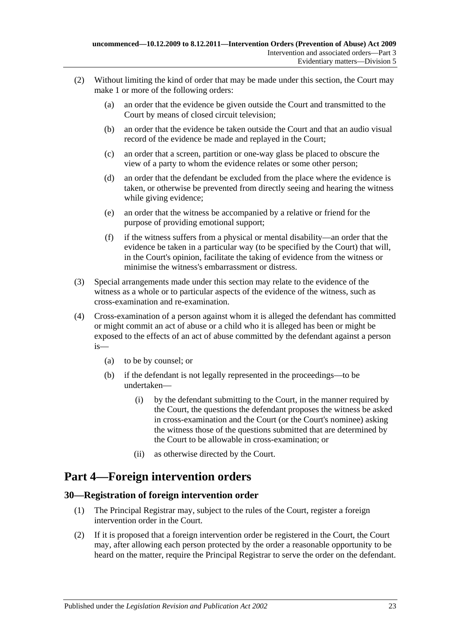- (2) Without limiting the kind of order that may be made under this section, the Court may make 1 or more of the following orders:
	- (a) an order that the evidence be given outside the Court and transmitted to the Court by means of closed circuit television;
	- (b) an order that the evidence be taken outside the Court and that an audio visual record of the evidence be made and replayed in the Court;
	- (c) an order that a screen, partition or one-way glass be placed to obscure the view of a party to whom the evidence relates or some other person;
	- (d) an order that the defendant be excluded from the place where the evidence is taken, or otherwise be prevented from directly seeing and hearing the witness while giving evidence;
	- (e) an order that the witness be accompanied by a relative or friend for the purpose of providing emotional support;
	- (f) if the witness suffers from a physical or mental disability—an order that the evidence be taken in a particular way (to be specified by the Court) that will, in the Court's opinion, facilitate the taking of evidence from the witness or minimise the witness's embarrassment or distress.
- (3) Special arrangements made under this section may relate to the evidence of the witness as a whole or to particular aspects of the evidence of the witness, such as cross-examination and re-examination.
- (4) Cross-examination of a person against whom it is alleged the defendant has committed or might commit an act of abuse or a child who it is alleged has been or might be exposed to the effects of an act of abuse committed by the defendant against a person is—
	- (a) to be by counsel; or
	- (b) if the defendant is not legally represented in the proceedings—to be undertaken—
		- (i) by the defendant submitting to the Court, in the manner required by the Court, the questions the defendant proposes the witness be asked in cross-examination and the Court (or the Court's nominee) asking the witness those of the questions submitted that are determined by the Court to be allowable in cross-examination; or
		- (ii) as otherwise directed by the Court.

## <span id="page-22-0"></span>**Part 4—Foreign intervention orders**

## <span id="page-22-1"></span>**30—Registration of foreign intervention order**

- (1) The Principal Registrar may, subject to the rules of the Court, register a foreign intervention order in the Court.
- (2) If it is proposed that a foreign intervention order be registered in the Court, the Court may, after allowing each person protected by the order a reasonable opportunity to be heard on the matter, require the Principal Registrar to serve the order on the defendant.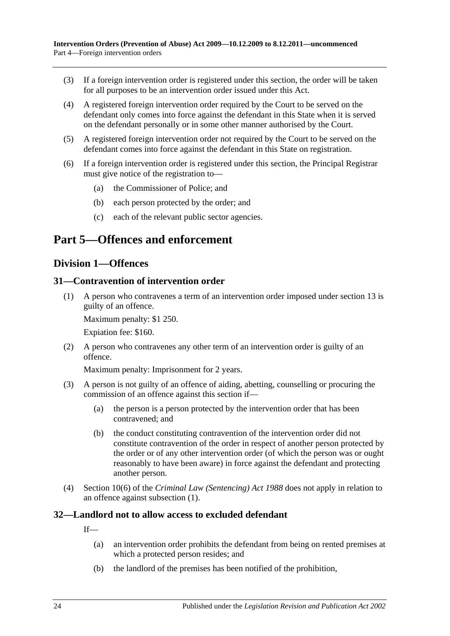- (3) If a foreign intervention order is registered under this section, the order will be taken for all purposes to be an intervention order issued under this Act.
- (4) A registered foreign intervention order required by the Court to be served on the defendant only comes into force against the defendant in this State when it is served on the defendant personally or in some other manner authorised by the Court.
- (5) A registered foreign intervention order not required by the Court to be served on the defendant comes into force against the defendant in this State on registration.
- (6) If a foreign intervention order is registered under this section, the Principal Registrar must give notice of the registration to—
	- (a) the Commissioner of Police; and
	- (b) each person protected by the order; and
	- (c) each of the relevant public sector agencies.

## <span id="page-23-1"></span><span id="page-23-0"></span>**Part 5—Offences and enforcement**

### **Division 1—Offences**

### <span id="page-23-4"></span><span id="page-23-2"></span>**31—Contravention of intervention order**

(1) A person who contravenes a term of an intervention order imposed under [section](#page-12-0) 13 is guilty of an offence.

Maximum penalty: \$1 250.

Expiation fee: \$160.

(2) A person who contravenes any other term of an intervention order is guilty of an offence.

Maximum penalty: Imprisonment for 2 years.

- (3) A person is not guilty of an offence of aiding, abetting, counselling or procuring the commission of an offence against this section if—
	- (a) the person is a person protected by the intervention order that has been contravened; and
	- (b) the conduct constituting contravention of the intervention order did not constitute contravention of the order in respect of another person protected by the order or of any other intervention order (of which the person was or ought reasonably to have been aware) in force against the defendant and protecting another person.
- (4) Section 10(6) of the *[Criminal Law \(Sentencing\) Act](http://www.legislation.sa.gov.au/index.aspx?action=legref&type=act&legtitle=Criminal%20Law%20(Sentencing)%20Act%201988) 1988* does not apply in relation to an offence against [subsection](#page-23-4) (1).

### <span id="page-23-3"></span>**32—Landlord not to allow access to excluded defendant**

If—

- (a) an intervention order prohibits the defendant from being on rented premises at which a protected person resides; and
- (b) the landlord of the premises has been notified of the prohibition,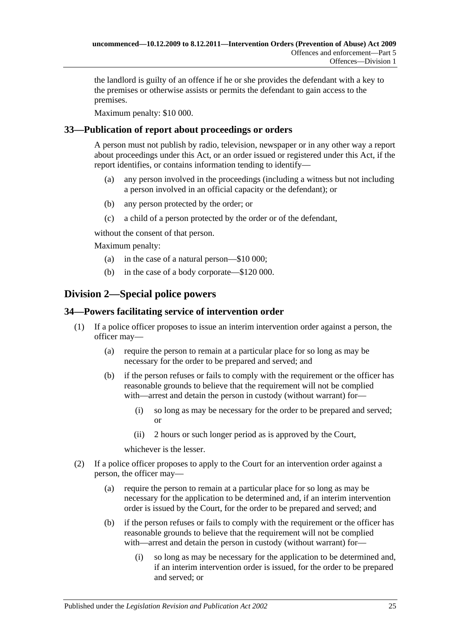the landlord is guilty of an offence if he or she provides the defendant with a key to the premises or otherwise assists or permits the defendant to gain access to the premises.

Maximum penalty: \$10 000.

## <span id="page-24-0"></span>**33—Publication of report about proceedings or orders**

A person must not publish by radio, television, newspaper or in any other way a report about proceedings under this Act, or an order issued or registered under this Act, if the report identifies, or contains information tending to identify—

- (a) any person involved in the proceedings (including a witness but not including a person involved in an official capacity or the defendant); or
- (b) any person protected by the order; or
- (c) a child of a person protected by the order or of the defendant,

without the consent of that person.

Maximum penalty:

- (a) in the case of a natural person—\$10 000;
- (b) in the case of a body corporate—\$120 000.

## <span id="page-24-1"></span>**Division 2—Special police powers**

### <span id="page-24-2"></span>**34—Powers facilitating service of intervention order**

- (1) If a police officer proposes to issue an interim intervention order against a person, the officer may—
	- (a) require the person to remain at a particular place for so long as may be necessary for the order to be prepared and served; and
	- (b) if the person refuses or fails to comply with the requirement or the officer has reasonable grounds to believe that the requirement will not be complied with—arrest and detain the person in custody (without warrant) for—
		- (i) so long as may be necessary for the order to be prepared and served; or
		- (ii) 2 hours or such longer period as is approved by the Court,

whichever is the lesser.

- (2) If a police officer proposes to apply to the Court for an intervention order against a person, the officer may—
	- (a) require the person to remain at a particular place for so long as may be necessary for the application to be determined and, if an interim intervention order is issued by the Court, for the order to be prepared and served; and
	- (b) if the person refuses or fails to comply with the requirement or the officer has reasonable grounds to believe that the requirement will not be complied with—arrest and detain the person in custody (without warrant) for—
		- (i) so long as may be necessary for the application to be determined and, if an interim intervention order is issued, for the order to be prepared and served; or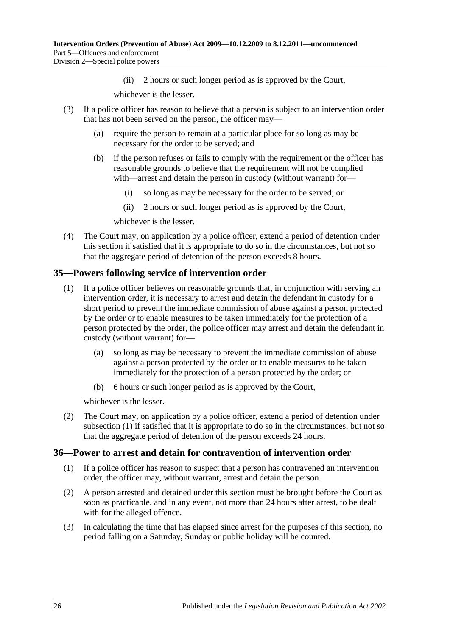(ii) 2 hours or such longer period as is approved by the Court,

whichever is the lesser.

- (3) If a police officer has reason to believe that a person is subject to an intervention order that has not been served on the person, the officer may—
	- (a) require the person to remain at a particular place for so long as may be necessary for the order to be served; and
	- (b) if the person refuses or fails to comply with the requirement or the officer has reasonable grounds to believe that the requirement will not be complied with—arrest and detain the person in custody (without warrant) for—
		- (i) so long as may be necessary for the order to be served; or
		- (ii) 2 hours or such longer period as is approved by the Court,

whichever is the lesser.

(4) The Court may, on application by a police officer, extend a period of detention under this section if satisfied that it is appropriate to do so in the circumstances, but not so that the aggregate period of detention of the person exceeds 8 hours.

### <span id="page-25-2"></span><span id="page-25-0"></span>**35—Powers following service of intervention order**

- (1) If a police officer believes on reasonable grounds that, in conjunction with serving an intervention order, it is necessary to arrest and detain the defendant in custody for a short period to prevent the immediate commission of abuse against a person protected by the order or to enable measures to be taken immediately for the protection of a person protected by the order, the police officer may arrest and detain the defendant in custody (without warrant) for—
	- (a) so long as may be necessary to prevent the immediate commission of abuse against a person protected by the order or to enable measures to be taken immediately for the protection of a person protected by the order; or
	- (b) 6 hours or such longer period as is approved by the Court,

whichever is the lesser.

(2) The Court may, on application by a police officer, extend a period of detention under [subsection](#page-25-2) (1) if satisfied that it is appropriate to do so in the circumstances, but not so that the aggregate period of detention of the person exceeds 24 hours.

### <span id="page-25-1"></span>**36—Power to arrest and detain for contravention of intervention order**

- (1) If a police officer has reason to suspect that a person has contravened an intervention order, the officer may, without warrant, arrest and detain the person.
- (2) A person arrested and detained under this section must be brought before the Court as soon as practicable, and in any event, not more than 24 hours after arrest, to be dealt with for the alleged offence.
- (3) In calculating the time that has elapsed since arrest for the purposes of this section, no period falling on a Saturday, Sunday or public holiday will be counted.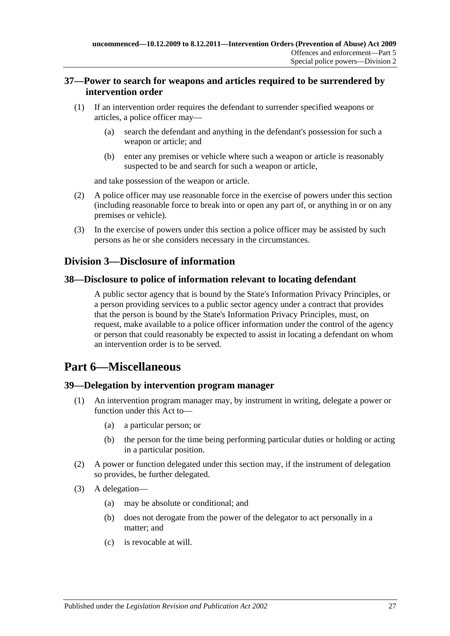### <span id="page-26-0"></span>**37—Power to search for weapons and articles required to be surrendered by intervention order**

- (1) If an intervention order requires the defendant to surrender specified weapons or articles, a police officer may—
	- (a) search the defendant and anything in the defendant's possession for such a weapon or article; and
	- (b) enter any premises or vehicle where such a weapon or article is reasonably suspected to be and search for such a weapon or article,

and take possession of the weapon or article.

- (2) A police officer may use reasonable force in the exercise of powers under this section (including reasonable force to break into or open any part of, or anything in or on any premises or vehicle).
- (3) In the exercise of powers under this section a police officer may be assisted by such persons as he or she considers necessary in the circumstances.

## <span id="page-26-1"></span>**Division 3—Disclosure of information**

### <span id="page-26-2"></span>**38—Disclosure to police of information relevant to locating defendant**

A public sector agency that is bound by the State's Information Privacy Principles, or a person providing services to a public sector agency under a contract that provides that the person is bound by the State's Information Privacy Principles, must, on request, make available to a police officer information under the control of the agency or person that could reasonably be expected to assist in locating a defendant on whom an intervention order is to be served.

## <span id="page-26-3"></span>**Part 6—Miscellaneous**

### <span id="page-26-4"></span>**39—Delegation by intervention program manager**

- An intervention program manager may, by instrument in writing, delegate a power or function under this Act to—
	- (a) a particular person; or
	- (b) the person for the time being performing particular duties or holding or acting in a particular position.
- (2) A power or function delegated under this section may, if the instrument of delegation so provides, be further delegated.
- (3) A delegation—
	- (a) may be absolute or conditional; and
	- (b) does not derogate from the power of the delegator to act personally in a matter; and
	- (c) is revocable at will.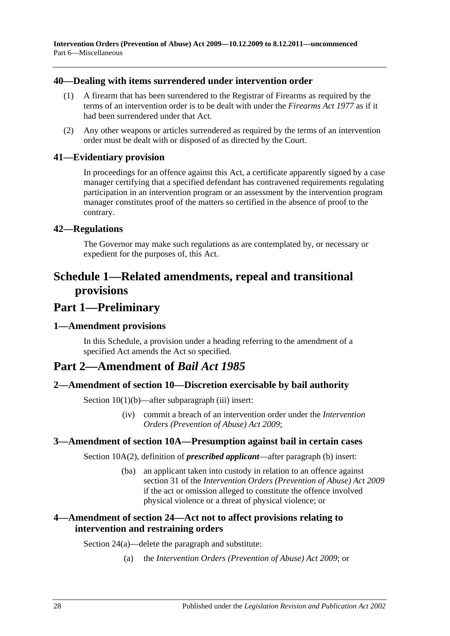### <span id="page-27-0"></span>**40—Dealing with items surrendered under intervention order**

- (1) A firearm that has been surrendered to the Registrar of Firearms as required by the terms of an intervention order is to be dealt with under the *[Firearms Act](http://www.legislation.sa.gov.au/index.aspx?action=legref&type=act&legtitle=Firearms%20Act%201977) 1977* as if it had been surrendered under that Act.
- (2) Any other weapons or articles surrendered as required by the terms of an intervention order must be dealt with or disposed of as directed by the Court.

### <span id="page-27-1"></span>**41—Evidentiary provision**

In proceedings for an offence against this Act, a certificate apparently signed by a case manager certifying that a specified defendant has contravened requirements regulating participation in an intervention program or an assessment by the intervention program manager constitutes proof of the matters so certified in the absence of proof to the contrary.

### <span id="page-27-2"></span>**42—Regulations**

The Governor may make such regulations as are contemplated by, or necessary or expedient for the purposes of, this Act.

## <span id="page-27-3"></span>**Schedule 1—Related amendments, repeal and transitional provisions**

## **Part 1—Preliminary**

### <span id="page-27-4"></span>**1—Amendment provisions**

In this Schedule, a provision under a heading referring to the amendment of a specified Act amends the Act so specified.

## **Part 2—Amendment of** *Bail Act 1985*

### <span id="page-27-5"></span>**2—Amendment of section 10—Discretion exercisable by bail authority**

Section  $10(1)(b)$ —after subparagraph (iii) insert:

(iv) commit a breach of an intervention order under the *[Intervention](http://www.legislation.sa.gov.au/index.aspx?action=legref&type=act&legtitle=Intervention%20Orders%20(Prevention%20of%20Abuse)%20Act%202009)  [Orders \(Prevention of Abuse\) Act](http://www.legislation.sa.gov.au/index.aspx?action=legref&type=act&legtitle=Intervention%20Orders%20(Prevention%20of%20Abuse)%20Act%202009) 2009*;

### <span id="page-27-6"></span>**3—Amendment of section 10A—Presumption against bail in certain cases**

Section 10A(2), definition of *prescribed applicant*—after paragraph (b) insert:

(ba) an applicant taken into custody in relation to an offence against section 31 of the *[Intervention Orders \(Prevention of Abuse\) Act](http://www.legislation.sa.gov.au/index.aspx?action=legref&type=act&legtitle=Intervention%20Orders%20(Prevention%20of%20Abuse)%20Act%202009) 2009* if the act or omission alleged to constitute the offence involved physical violence or a threat of physical violence; or

### <span id="page-27-7"></span>**4—Amendment of section 24—Act not to affect provisions relating to intervention and restraining orders**

Section 24(a)—delete the paragraph and substitute:

(a) the *[Intervention Orders \(Prevention of Abuse\) Act](http://www.legislation.sa.gov.au/index.aspx?action=legref&type=act&legtitle=Intervention%20Orders%20(Prevention%20of%20Abuse)%20Act%202009) 2009*; or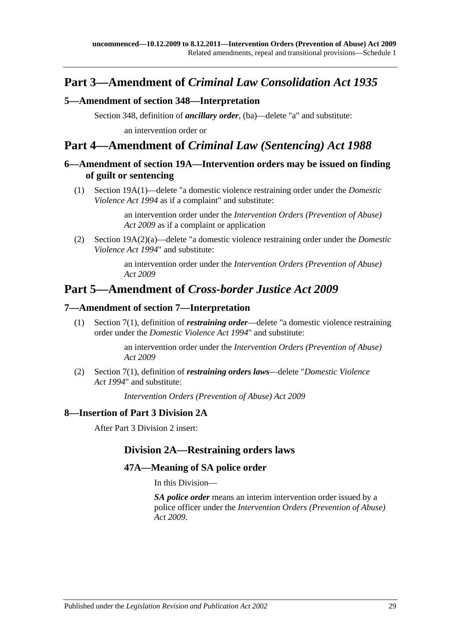## **Part 3—Amendment of** *Criminal Law Consolidation Act 1935*

### <span id="page-28-0"></span>**5—Amendment of section 348—Interpretation**

Section 348, definition of *ancillary order*, (ba)—delete "a" and substitute: an intervention order or

## **Part 4—Amendment of** *Criminal Law (Sentencing) Act 1988*

### <span id="page-28-1"></span>**6—Amendment of section 19A—Intervention orders may be issued on finding of guilt or sentencing**

(1) Section 19A(1)—delete "a domestic violence restraining order under the *[Domestic](http://www.legislation.sa.gov.au/index.aspx?action=legref&type=act&legtitle=Domestic%20Violence%20Act%201994)  [Violence Act](http://www.legislation.sa.gov.au/index.aspx?action=legref&type=act&legtitle=Domestic%20Violence%20Act%201994) 1994* as if a complaint" and substitute:

> an intervention order under the *[Intervention Orders \(Prevention of Abuse\)](http://www.legislation.sa.gov.au/index.aspx?action=legref&type=act&legtitle=Intervention%20Orders%20(Prevention%20of%20Abuse)%20Act%202009)  Act [2009](http://www.legislation.sa.gov.au/index.aspx?action=legref&type=act&legtitle=Intervention%20Orders%20(Prevention%20of%20Abuse)%20Act%202009)* as if a complaint or application

(2) Section 19A(2)(a)—delete "a domestic violence restraining order under the *[Domestic](http://www.legislation.sa.gov.au/index.aspx?action=legref&type=act&legtitle=Domestic%20Violence%20Act%201994)  [Violence Act](http://www.legislation.sa.gov.au/index.aspx?action=legref&type=act&legtitle=Domestic%20Violence%20Act%201994) 1994*" and substitute:

> an intervention order under the *[Intervention Orders \(Prevention of Abuse\)](http://www.legislation.sa.gov.au/index.aspx?action=legref&type=act&legtitle=Intervention%20Orders%20(Prevention%20of%20Abuse)%20Act%202009)  Act [2009](http://www.legislation.sa.gov.au/index.aspx?action=legref&type=act&legtitle=Intervention%20Orders%20(Prevention%20of%20Abuse)%20Act%202009)*

## **Part 5—Amendment of** *Cross-border Justice Act 2009*

### <span id="page-28-2"></span>**7—Amendment of section 7—Interpretation**

(1) Section 7(1), definition of *restraining order*—delete "a domestic violence restraining order under the *[Domestic Violence Act](http://www.legislation.sa.gov.au/index.aspx?action=legref&type=act&legtitle=Domestic%20Violence%20Act%201994) 1994*" and substitute:

> an intervention order under the *[Intervention Orders \(Prevention of Abuse\)](http://www.legislation.sa.gov.au/index.aspx?action=legref&type=act&legtitle=Intervention%20Orders%20(Prevention%20of%20Abuse)%20Act%202009)  Act [2009](http://www.legislation.sa.gov.au/index.aspx?action=legref&type=act&legtitle=Intervention%20Orders%20(Prevention%20of%20Abuse)%20Act%202009)*

(2) Section 7(1), definition of *restraining orders laws*—delete "*[Domestic Violence](http://www.legislation.sa.gov.au/index.aspx?action=legref&type=act&legtitle=Domestic%20Violence%20Act%201994)  Act [1994](http://www.legislation.sa.gov.au/index.aspx?action=legref&type=act&legtitle=Domestic%20Violence%20Act%201994)*" and substitute:

*[Intervention Orders \(Prevention of Abuse\) Act](http://www.legislation.sa.gov.au/index.aspx?action=legref&type=act&legtitle=Intervention%20Orders%20(Prevention%20of%20Abuse)%20Act%202009) 2009*

### <span id="page-28-3"></span>**8—Insertion of Part 3 Division 2A**

After Part 3 Division 2 insert:

## **Division 2A—Restraining orders laws**

### **47A—Meaning of SA police order**

In this Division—

*SA police order* means an interim intervention order issued by a police officer under the *[Intervention Orders \(Prevention of Abuse\)](http://www.legislation.sa.gov.au/index.aspx?action=legref&type=act&legtitle=Intervention%20Orders%20(Prevention%20of%20Abuse)%20Act%202009)  Act [2009](http://www.legislation.sa.gov.au/index.aspx?action=legref&type=act&legtitle=Intervention%20Orders%20(Prevention%20of%20Abuse)%20Act%202009)*.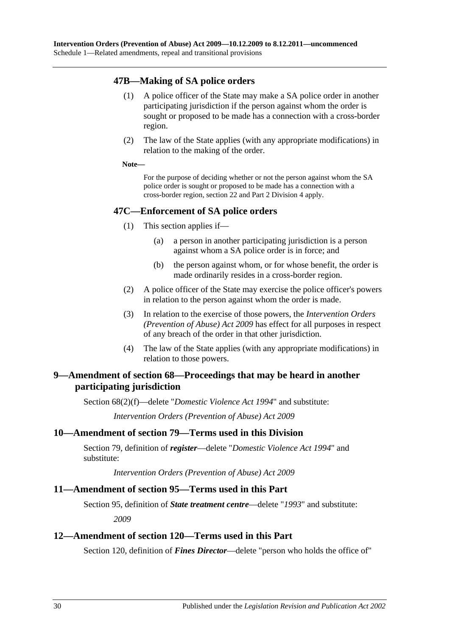### **47B—Making of SA police orders**

- (1) A police officer of the State may make a SA police order in another participating jurisdiction if the person against whom the order is sought or proposed to be made has a connection with a cross-border region.
- (2) The law of the State applies (with any appropriate modifications) in relation to the making of the order.

#### **Note—**

For the purpose of deciding whether or not the person against whom the SA police order is sought or proposed to be made has a connection with a cross-border region, section 22 and Part 2 Division 4 apply.

### **47C—Enforcement of SA police orders**

- (1) This section applies if—
	- (a) a person in another participating jurisdiction is a person against whom a SA police order is in force; and
	- (b) the person against whom, or for whose benefit, the order is made ordinarily resides in a cross-border region.
- (2) A police officer of the State may exercise the police officer's powers in relation to the person against whom the order is made.
- (3) In relation to the exercise of those powers, the *[Intervention Orders](http://www.legislation.sa.gov.au/index.aspx?action=legref&type=act&legtitle=Intervention%20Orders%20(Prevention%20of%20Abuse)%20Act%202009)  [\(Prevention of Abuse\) Act](http://www.legislation.sa.gov.au/index.aspx?action=legref&type=act&legtitle=Intervention%20Orders%20(Prevention%20of%20Abuse)%20Act%202009) 2009* has effect for all purposes in respect of any breach of the order in that other jurisdiction.
- (4) The law of the State applies (with any appropriate modifications) in relation to those powers.

### <span id="page-29-0"></span>**9—Amendment of section 68—Proceedings that may be heard in another participating jurisdiction**

Section 68(2)(f)—delete "*[Domestic Violence Act](http://www.legislation.sa.gov.au/index.aspx?action=legref&type=act&legtitle=Domestic%20Violence%20Act%201994) 1994*" and substitute:

*[Intervention Orders \(Prevention of Abuse\) Act](http://www.legislation.sa.gov.au/index.aspx?action=legref&type=act&legtitle=Intervention%20Orders%20(Prevention%20of%20Abuse)%20Act%202009) 2009*

### <span id="page-29-1"></span>**10—Amendment of section 79—Terms used in this Division**

Section 79, definition of *register*—delete "*[Domestic Violence Act](http://www.legislation.sa.gov.au/index.aspx?action=legref&type=act&legtitle=Domestic%20Violence%20Act%201994) 1994*" and substitute:

*[Intervention Orders \(Prevention of Abuse\) Act](http://www.legislation.sa.gov.au/index.aspx?action=legref&type=act&legtitle=Intervention%20Orders%20(Prevention%20of%20Abuse)%20Act%202009) 2009*

### <span id="page-29-2"></span>**11—Amendment of section 95—Terms used in this Part**

Section 95, definition of *State treatment centre*—delete "*1993*" and substitute:

*2009*

### <span id="page-29-3"></span>**12—Amendment of section 120—Terms used in this Part**

Section 120, definition of *Fines Director*—delete "person who holds the office of"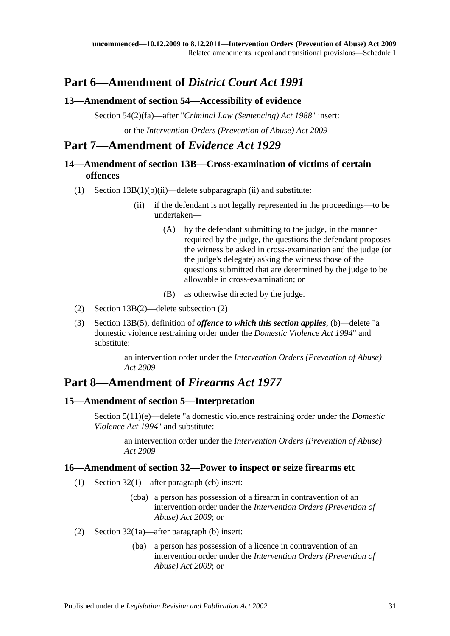## **Part 6—Amendment of** *District Court Act 1991*

## <span id="page-30-0"></span>**13—Amendment of section 54—Accessibility of evidence**

Section 54(2)(fa)—after "*[Criminal Law \(Sentencing\) Act](http://www.legislation.sa.gov.au/index.aspx?action=legref&type=act&legtitle=Criminal%20Law%20(Sentencing)%20Act%201988) 1988*" insert: or the *[Intervention Orders \(Prevention of Abuse\) Act](http://www.legislation.sa.gov.au/index.aspx?action=legref&type=act&legtitle=Intervention%20Orders%20(Prevention%20of%20Abuse)%20Act%202009) 2009*

## **Part 7—Amendment of** *Evidence Act 1929*

## <span id="page-30-1"></span>**14—Amendment of section 13B—Cross-examination of victims of certain offences**

- (1) Section  $13B(1)(b)(ii)$ —delete subparagraph (ii) and substitute:
	- (ii) if the defendant is not legally represented in the proceedings—to be undertaken—
		- (A) by the defendant submitting to the judge, in the manner required by the judge, the questions the defendant proposes the witness be asked in cross-examination and the judge (or the judge's delegate) asking the witness those of the questions submitted that are determined by the judge to be allowable in cross-examination; or
		- (B) as otherwise directed by the judge.
- (2) Section 13B(2)—delete subsection (2)
- (3) Section 13B(5), definition of *offence to which this section applies*, (b)—delete "a domestic violence restraining order under the *[Domestic Violence Act](http://www.legislation.sa.gov.au/index.aspx?action=legref&type=act&legtitle=Domestic%20Violence%20Act%201994) 1994*" and substitute:

an intervention order under the *[Intervention Orders \(Prevention of Abuse\)](http://www.legislation.sa.gov.au/index.aspx?action=legref&type=act&legtitle=Intervention%20Orders%20(Prevention%20of%20Abuse)%20Act%202009)  Act [2009](http://www.legislation.sa.gov.au/index.aspx?action=legref&type=act&legtitle=Intervention%20Orders%20(Prevention%20of%20Abuse)%20Act%202009)*

## **Part 8—Amendment of** *Firearms Act 1977*

## <span id="page-30-2"></span>**15—Amendment of section 5—Interpretation**

Section 5(11)(e)—delete "a domestic violence restraining order under the *[Domestic](http://www.legislation.sa.gov.au/index.aspx?action=legref&type=act&legtitle=Domestic%20Violence%20Act%201994)  [Violence Act](http://www.legislation.sa.gov.au/index.aspx?action=legref&type=act&legtitle=Domestic%20Violence%20Act%201994) 1994*" and substitute:

an intervention order under the *[Intervention Orders \(Prevention of Abuse\)](http://www.legislation.sa.gov.au/index.aspx?action=legref&type=act&legtitle=Intervention%20Orders%20(Prevention%20of%20Abuse)%20Act%202009)  Act [2009](http://www.legislation.sa.gov.au/index.aspx?action=legref&type=act&legtitle=Intervention%20Orders%20(Prevention%20of%20Abuse)%20Act%202009)*

### <span id="page-30-3"></span>**16—Amendment of section 32—Power to inspect or seize firearms etc**

- (1) Section 32(1)—after paragraph (cb) insert:
	- (cba) a person has possession of a firearm in contravention of an intervention order under the *[Intervention Orders \(Prevention of](http://www.legislation.sa.gov.au/index.aspx?action=legref&type=act&legtitle=Intervention%20Orders%20(Prevention%20of%20Abuse)%20Act%202009)  [Abuse\) Act](http://www.legislation.sa.gov.au/index.aspx?action=legref&type=act&legtitle=Intervention%20Orders%20(Prevention%20of%20Abuse)%20Act%202009) 2009*; or
- (2) Section 32(1a)—after paragraph (b) insert:
	- (ba) a person has possession of a licence in contravention of an intervention order under the *[Intervention Orders \(Prevention of](http://www.legislation.sa.gov.au/index.aspx?action=legref&type=act&legtitle=Intervention%20Orders%20(Prevention%20of%20Abuse)%20Act%202009)  [Abuse\) Act](http://www.legislation.sa.gov.au/index.aspx?action=legref&type=act&legtitle=Intervention%20Orders%20(Prevention%20of%20Abuse)%20Act%202009) 2009*; or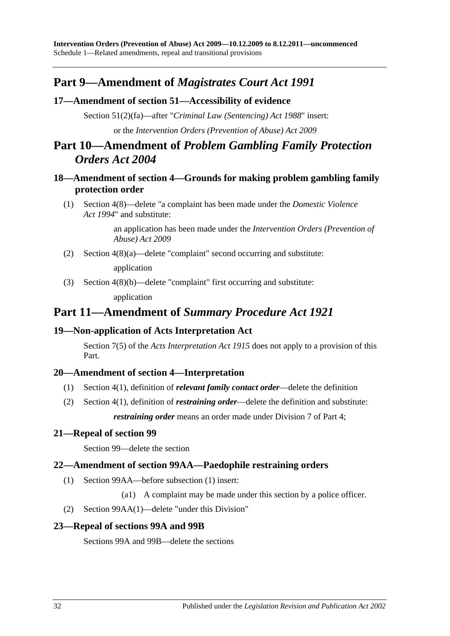## **Part 9—Amendment of** *Magistrates Court Act 1991*

### <span id="page-31-0"></span>**17—Amendment of section 51—Accessibility of evidence**

Section 51(2)(fa)—after "*[Criminal Law \(Sentencing\) Act](http://www.legislation.sa.gov.au/index.aspx?action=legref&type=act&legtitle=Criminal%20Law%20(Sentencing)%20Act%201988) 1988*" insert: or the *[Intervention Orders \(Prevention of Abuse\) Act](http://www.legislation.sa.gov.au/index.aspx?action=legref&type=act&legtitle=Intervention%20Orders%20(Prevention%20of%20Abuse)%20Act%202009) 2009*

## **Part 10—Amendment of** *Problem Gambling Family Protection Orders Act 2004*

## <span id="page-31-1"></span>**18—Amendment of section 4—Grounds for making problem gambling family protection order**

(1) Section 4(8)—delete "a complaint has been made under the *[Domestic Violence](http://www.legislation.sa.gov.au/index.aspx?action=legref&type=act&legtitle=Domestic%20Violence%20Act%201994)  Act [1994](http://www.legislation.sa.gov.au/index.aspx?action=legref&type=act&legtitle=Domestic%20Violence%20Act%201994)*" and substitute:

> an application has been made under the *[Intervention Orders \(Prevention of](http://www.legislation.sa.gov.au/index.aspx?action=legref&type=act&legtitle=Intervention%20Orders%20(Prevention%20of%20Abuse)%20Act%202009)  [Abuse\) Act](http://www.legislation.sa.gov.au/index.aspx?action=legref&type=act&legtitle=Intervention%20Orders%20(Prevention%20of%20Abuse)%20Act%202009) 2009*

(2) Section 4(8)(a)—delete "complaint" second occurring and substitute:

application

(3) Section 4(8)(b)—delete "complaint" first occurring and substitute: application

## **Part 11—Amendment of** *Summary Procedure Act 1921*

### <span id="page-31-2"></span>**19—Non-application of Acts Interpretation Act**

Section 7(5) of the *[Acts Interpretation Act](http://www.legislation.sa.gov.au/index.aspx?action=legref&type=act&legtitle=Acts%20Interpretation%20Act%201915) 1915* does not apply to a provision of this Part.

## <span id="page-31-3"></span>**20—Amendment of section 4—Interpretation**

- (1) Section 4(1), definition of *relevant family contact order*—delete the definition
- (2) Section 4(1), definition of *restraining order*—delete the definition and substitute: *restraining order* means an order made under Division 7 of Part 4;

### <span id="page-31-4"></span>**21—Repeal of section 99**

Section 99—delete the section

### <span id="page-31-5"></span>**22—Amendment of section 99AA—Paedophile restraining orders**

- (1) Section 99AA—before subsection (1) insert:
	- (a1) A complaint may be made under this section by a police officer.
- (2) Section 99AA(1)—delete "under this Division"

### <span id="page-31-6"></span>**23—Repeal of sections 99A and 99B**

Sections 99A and 99B—delete the sections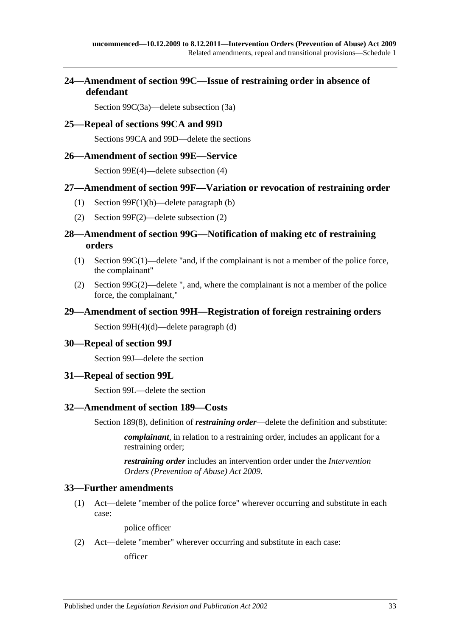## <span id="page-32-0"></span>**24—Amendment of section 99C—Issue of restraining order in absence of defendant**

Section 99C(3a)—delete subsection (3a)

### <span id="page-32-1"></span>**25—Repeal of sections 99CA and 99D**

Sections 99CA and 99D—delete the sections

### <span id="page-32-2"></span>**26—Amendment of section 99E—Service**

Section 99E(4)—delete subsection (4)

### <span id="page-32-3"></span>**27—Amendment of section 99F—Variation or revocation of restraining order**

- (1) Section 99F(1)(b)—delete paragraph (b)
- (2) Section 99F(2)—delete subsection (2)

### <span id="page-32-4"></span>**28—Amendment of section 99G—Notification of making etc of restraining orders**

- (1) Section  $99G(1)$ —delete "and, if the complainant is not a member of the police force, the complainant"
- (2) Section 99G(2)—delete ", and, where the complainant is not a member of the police force, the complainant,"

### <span id="page-32-5"></span>**29—Amendment of section 99H—Registration of foreign restraining orders**

Section 99H(4)(d)—delete paragraph (d)

### <span id="page-32-6"></span>**30—Repeal of section 99J**

Section 99J—delete the section

### <span id="page-32-7"></span>**31—Repeal of section 99L**

Section 99L—delete the section

### <span id="page-32-8"></span>**32—Amendment of section 189—Costs**

Section 189(8), definition of *restraining order*—delete the definition and substitute:

*complainant*, in relation to a restraining order, includes an applicant for a restraining order;

*restraining order* includes an intervention order under the *[Intervention](http://www.legislation.sa.gov.au/index.aspx?action=legref&type=act&legtitle=Intervention%20Orders%20(Prevention%20of%20Abuse)%20Act%202009)  [Orders \(Prevention of Abuse\) Act](http://www.legislation.sa.gov.au/index.aspx?action=legref&type=act&legtitle=Intervention%20Orders%20(Prevention%20of%20Abuse)%20Act%202009) 2009*.

### <span id="page-32-9"></span>**33—Further amendments**

(1) Act—delete "member of the police force" wherever occurring and substitute in each case:

police officer

(2) Act—delete "member" wherever occurring and substitute in each case:

officer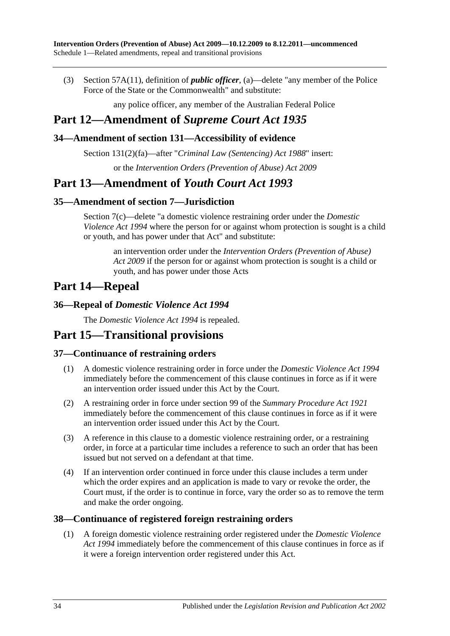(3) Section 57A(11), definition of *public officer*, (a)—delete "any member of the Police Force of the State or the Commonwealth" and substitute:

any police officer, any member of the Australian Federal Police

## **Part 12—Amendment of** *Supreme Court Act 1935*

## <span id="page-33-0"></span>**34—Amendment of section 131—Accessibility of evidence**

Section 131(2)(fa)—after "*[Criminal Law \(Sentencing\) Act](http://www.legislation.sa.gov.au/index.aspx?action=legref&type=act&legtitle=Criminal%20Law%20(Sentencing)%20Act%201988) 1988*" insert:

or the *[Intervention Orders \(Prevention of Abuse\) Act](http://www.legislation.sa.gov.au/index.aspx?action=legref&type=act&legtitle=Intervention%20Orders%20(Prevention%20of%20Abuse)%20Act%202009) 2009*

## **Part 13—Amendment of** *Youth Court Act 1993*

## <span id="page-33-1"></span>**35—Amendment of section 7—Jurisdiction**

Section 7(c)—delete "a domestic violence restraining order under the *[Domestic](http://www.legislation.sa.gov.au/index.aspx?action=legref&type=act&legtitle=Domestic%20Violence%20Act%201994)  [Violence Act](http://www.legislation.sa.gov.au/index.aspx?action=legref&type=act&legtitle=Domestic%20Violence%20Act%201994) 1994* where the person for or against whom protection is sought is a child or youth, and has power under that Act" and substitute:

an intervention order under the *[Intervention Orders \(Prevention of Abuse\)](http://www.legislation.sa.gov.au/index.aspx?action=legref&type=act&legtitle=Intervention%20Orders%20(Prevention%20of%20Abuse)%20Act%202009)  Act [2009](http://www.legislation.sa.gov.au/index.aspx?action=legref&type=act&legtitle=Intervention%20Orders%20(Prevention%20of%20Abuse)%20Act%202009)* if the person for or against whom protection is sought is a child or youth, and has power under those Acts

## **Part 14—Repeal**

### <span id="page-33-2"></span>**36—Repeal of** *Domestic Violence Act 1994*

The *[Domestic Violence Act](http://www.legislation.sa.gov.au/index.aspx?action=legref&type=act&legtitle=Domestic%20Violence%20Act%201994) 1994* is repealed.

## **Part 15—Transitional provisions**

## <span id="page-33-3"></span>**37—Continuance of restraining orders**

- (1) A domestic violence restraining order in force under the *[Domestic Violence Act](http://www.legislation.sa.gov.au/index.aspx?action=legref&type=act&legtitle=Domestic%20Violence%20Act%201994) 1994* immediately before the commencement of this clause continues in force as if it were an intervention order issued under this Act by the Court.
- (2) A restraining order in force under section 99 of the *[Summary Procedure Act](http://www.legislation.sa.gov.au/index.aspx?action=legref&type=act&legtitle=Summary%20Procedure%20Act%201921) 1921* immediately before the commencement of this clause continues in force as if it were an intervention order issued under this Act by the Court.
- (3) A reference in this clause to a domestic violence restraining order, or a restraining order, in force at a particular time includes a reference to such an order that has been issued but not served on a defendant at that time.
- (4) If an intervention order continued in force under this clause includes a term under which the order expires and an application is made to vary or revoke the order, the Court must, if the order is to continue in force, vary the order so as to remove the term and make the order ongoing.

### <span id="page-33-4"></span>**38—Continuance of registered foreign restraining orders**

(1) A foreign domestic violence restraining order registered under the *[Domestic Violence](http://www.legislation.sa.gov.au/index.aspx?action=legref&type=act&legtitle=Domestic%20Violence%20Act%201994)  Act [1994](http://www.legislation.sa.gov.au/index.aspx?action=legref&type=act&legtitle=Domestic%20Violence%20Act%201994)* immediately before the commencement of this clause continues in force as if it were a foreign intervention order registered under this Act.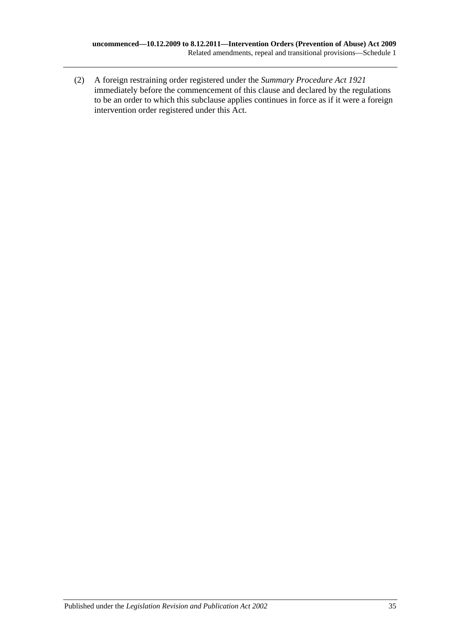(2) A foreign restraining order registered under the *[Summary Procedure Act](http://www.legislation.sa.gov.au/index.aspx?action=legref&type=act&legtitle=Summary%20Procedure%20Act%201921) 1921* immediately before the commencement of this clause and declared by the regulations to be an order to which this subclause applies continues in force as if it were a foreign intervention order registered under this Act.